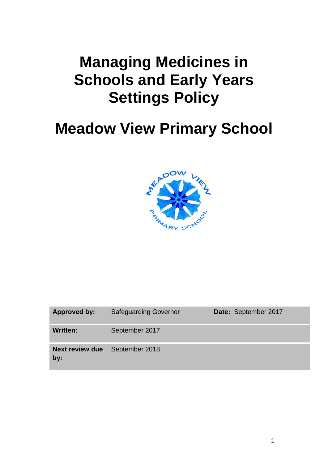# **Managing Medicines in Schools and Early Years Settings Policy**

# **Meadow View Primary School**



| Approved by:                                 | <b>Safeguarding Governor</b> | Date: September 2017 |
|----------------------------------------------|------------------------------|----------------------|
| <b>Written:</b>                              | September 2017               |                      |
| <b>Next review due</b> September 2018<br>by: |                              |                      |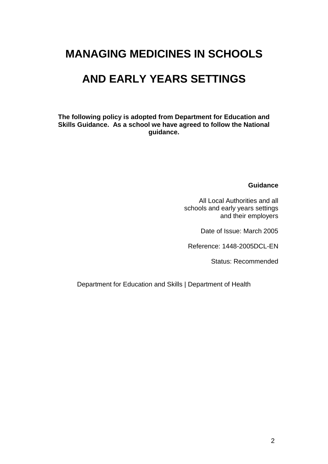# **MANAGING MEDICINES IN SCHOOLS**

# **AND EARLY YEARS SETTINGS**

**The following policy is adopted from Department for Education and Skills Guidance. As a school we have agreed to follow the National guidance.**

#### **Guidance**

All Local Authorities and all schools and early years settings and their employers

Date of Issue: March 2005

Reference: 1448-2005DCL-EN

Status: Recommended

Department for Education and Skills | Department of Health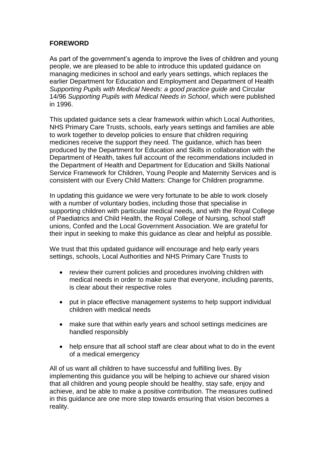#### **FOREWORD**

As part of the government's agenda to improve the lives of children and young people, we are pleased to be able to introduce this updated guidance on managing medicines in school and early years settings, which replaces the earlier Department for Education and Employment and Department of Health *Supporting Pupils with Medical Needs: a good practice guide* and Circular 14/96 *Supporting Pupils with Medical Needs in School*, which were published in 1996.

This updated guidance sets a clear framework within which Local Authorities, NHS Primary Care Trusts, schools, early years settings and families are able to work together to develop policies to ensure that children requiring medicines receive the support they need. The guidance, which has been produced by the Department for Education and Skills in collaboration with the Department of Health, takes full account of the recommendations included in the Department of Health and Department for Education and Skills National Service Framework for Children, Young People and Maternity Services and is consistent with our Every Child Matters: Change for Children programme.

In updating this guidance we were very fortunate to be able to work closely with a number of voluntary bodies, including those that specialise in supporting children with particular medical needs, and with the Royal College of Paediatrics and Child Health, the Royal College of Nursing, school staff unions, Confed and the Local Government Association. We are grateful for their input in seeking to make this guidance as clear and helpful as possible.

We trust that this updated guidance will encourage and help early years settings, schools, Local Authorities and NHS Primary Care Trusts to

- review their current policies and procedures involving children with medical needs in order to make sure that everyone, including parents, is clear about their respective roles
- put in place effective management systems to help support individual children with medical needs
- make sure that within early years and school settings medicines are handled responsibly
- help ensure that all school staff are clear about what to do in the event of a medical emergency

All of us want all children to have successful and fulfilling lives. By implementing this guidance you will be helping to achieve our shared vision that all children and young people should be healthy, stay safe, enjoy and achieve, and be able to make a positive contribution. The measures outlined in this guidance are one more step towards ensuring that vision becomes a reality.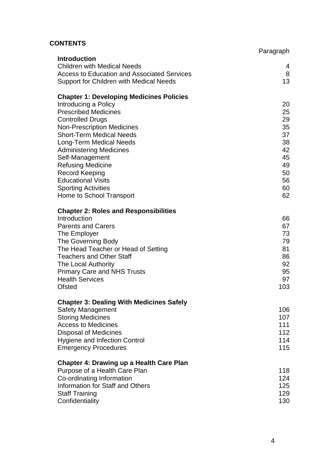## **CONTENTS**

|                                                                      | Paragraph |
|----------------------------------------------------------------------|-----------|
| <b>Introduction</b><br><b>Children with Medical Needs</b>            |           |
| <b>Access to Education and Associated Services</b>                   | 4<br>8    |
| Support for Children with Medical Needs                              | 13        |
|                                                                      |           |
| <b>Chapter 1: Developing Medicines Policies</b>                      |           |
| Introducing a Policy                                                 | 20        |
| <b>Prescribed Medicines</b>                                          | 25        |
| <b>Controlled Drugs</b>                                              | 29        |
| <b>Non-Prescription Medicines</b><br><b>Short-Term Medical Needs</b> | 35<br>37  |
| Long-Term Medical Needs                                              | 38        |
| <b>Administering Medicines</b>                                       | 42        |
| Self-Management                                                      | 45        |
| <b>Refusing Medicine</b>                                             | 49        |
| <b>Record Keeping</b>                                                | 50        |
| <b>Educational Visits</b>                                            | 56        |
| <b>Sporting Activities</b>                                           | 60        |
| Home to School Transport                                             | 62        |
| <b>Chapter 2: Roles and Responsibilities</b>                         |           |
| Introduction                                                         | 66        |
| <b>Parents and Carers</b>                                            | 67        |
| The Employer                                                         | 73        |
| The Governing Body                                                   | 79        |
| The Head Teacher or Head of Setting                                  | 81        |
| <b>Teachers and Other Staff</b>                                      | 86        |
| The Local Authority                                                  | 92        |
| <b>Primary Care and NHS Trusts</b>                                   | 95        |
| <b>Health Services</b>                                               | 97        |
| <b>Ofsted</b>                                                        | 103       |
| <b>Chapter 3: Dealing With Medicines Safely</b>                      |           |
| <b>Safety Management</b>                                             | 106       |
| <b>Storing Medicines</b>                                             | 107       |
| <b>Access to Medicines</b>                                           | 111       |
| <b>Disposal of Medicines</b>                                         | 112       |
| <b>Hygiene and Infection Control</b>                                 | 114       |
| <b>Emergency Procedures</b>                                          | 115       |
| <b>Chapter 4: Drawing up a Health Care Plan</b>                      |           |
| Purpose of a Health Care Plan                                        | 118       |
| Co-ordinating Information                                            | 124       |
| Information for Staff and Others                                     | 125       |
| <b>Staff Training</b>                                                | 129       |
| Confidentiality                                                      | 130       |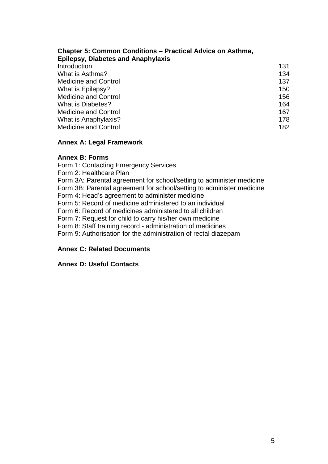| <b>Chapter 5: Common Conditions – Practical Advice on Asthma,</b><br><b>Epilepsy, Diabetes and Anaphylaxis</b> |     |
|----------------------------------------------------------------------------------------------------------------|-----|
| Introduction                                                                                                   | 131 |
| What is Asthma?                                                                                                | 134 |
| <b>Medicine and Control</b>                                                                                    | 137 |
| What is Epilepsy?                                                                                              | 150 |
| <b>Medicine and Control</b>                                                                                    | 156 |
| What is Diabetes?                                                                                              | 164 |
| <b>Medicine and Control</b>                                                                                    | 167 |
| What is Anaphylaxis?                                                                                           | 178 |
| <b>Medicine and Control</b>                                                                                    | 182 |

### **Annex A: Legal Framework**

#### **Annex B: Forms**

Form 1: Contacting Emergency Services Form 2: Healthcare Plan Form 3A: Parental agreement for school/setting to administer medicine Form 3B: Parental agreement for school/setting to administer medicine Form 4: Head's agreement to administer medicine Form 5: Record of medicine administered to an individual Form 6: Record of medicines administered to all children Form 7: Request for child to carry his/her own medicine Form 8: Staff training record - administration of medicines Form 9: Authorisation for the administration of rectal diazepam **Annex C: Related Documents**

# **Annex D: Useful Contacts**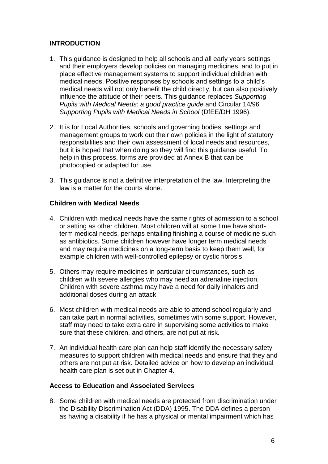#### **INTRODUCTION**

- 1. This guidance is designed to help all schools and all early years settings and their employers develop policies on managing medicines, and to put in place effective management systems to support individual children with medical needs. Positive responses by schools and settings to a child's medical needs will not only benefit the child directly, but can also positively influence the attitude of their peers. This guidance replaces *Supporting Pupils with Medical Needs: a good practice guide* and Circular 14/96 *Supporting Pupils with Medical Needs in School* (DfEE/DH 1996).
- 2. It is for Local Authorities, schools and governing bodies, settings and management groups to work out their own policies in the light of statutory responsibilities and their own assessment of local needs and resources, but it is hoped that when doing so they will find this guidance useful. To help in this process, forms are provided at Annex B that can be photocopied or adapted for use.
- 3. This guidance is not a definitive interpretation of the law. Interpreting the law is a matter for the courts alone.

#### **Children with Medical Needs**

- 4. Children with medical needs have the same rights of admission to a school or setting as other children. Most children will at some time have shortterm medical needs, perhaps entailing finishing a course of medicine such as antibiotics. Some children however have longer term medical needs and may require medicines on a long-term basis to keep them well, for example children with well-controlled epilepsy or cystic fibrosis.
- 5. Others may require medicines in particular circumstances, such as children with severe allergies who may need an adrenaline injection. Children with severe asthma may have a need for daily inhalers and additional doses during an attack.
- 6. Most children with medical needs are able to attend school regularly and can take part in normal activities, sometimes with some support. However, staff may need to take extra care in supervising some activities to make sure that these children, and others, are not put at risk.
- 7. An individual health care plan can help staff identify the necessary safety measures to support children with medical needs and ensure that they and others are not put at risk. Detailed advice on how to develop an individual health care plan is set out in Chapter 4.

#### **Access to Education and Associated Services**

8. Some children with medical needs are protected from discrimination under the Disability Discrimination Act (DDA) 1995. The DDA defines a person as having a disability if he has a physical or mental impairment which has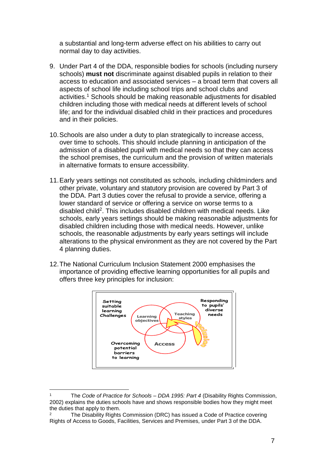a substantial and long-term adverse effect on his abilities to carry out normal day to day activities.

- 9. Under Part 4 of the DDA, responsible bodies for schools (including nursery schools) **must not** discriminate against disabled pupils in relation to their access to education and associated services – a broad term that covers all aspects of school life including school trips and school clubs and activities.<sup>1</sup> Schools should be making reasonable adjustments for disabled children including those with medical needs at different levels of school life; and for the individual disabled child in their practices and procedures and in their policies.
- 10.Schools are also under a duty to plan strategically to increase access, over time to schools. This should include planning in anticipation of the admission of a disabled pupil with medical needs so that they can access the school premises, the curriculum and the provision of written materials in alternative formats to ensure accessibility.
- 11.Early years settings not constituted as schools, including childminders and other private, voluntary and statutory provision are covered by Part 3 of the DDA. Part 3 duties cover the refusal to provide a service, offering a lower standard of service or offering a service on worse terms to a disabled child<sup>2</sup>. This includes disabled children with medical needs. Like schools, early years settings should be making reasonable adjustments for disabled children including those with medical needs. However, unlike schools, the reasonable adjustments by early years settings will include alterations to the physical environment as they are not covered by the Part 4 planning duties.
- 12.The National Curriculum Inclusion Statement 2000 emphasises the importance of providing effective learning opportunities for all pupils and offers three key principles for inclusion:



<sup>1</sup> The *Code of Practice for Schools – DDA 1995: Part 4* (Disability Rights Commission, 2002) explains the duties schools have and shows responsible bodies how they might meet the duties that apply to them.

<sup>&</sup>lt;sup>2</sup> The Disability Rights Commission (DRC) has issued a Code of Practice covering Rights of Access to Goods, Facilities, Services and Premises*,* under Part 3 of the DDA.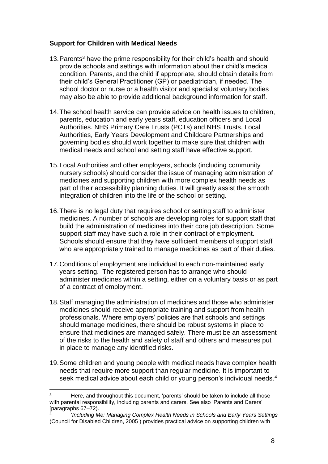#### **Support for Children with Medical Needs**

- 13. Parents<sup>3</sup> have the prime responsibility for their child's health and should provide schools and settings with information about their child's medical condition. Parents, and the child if appropriate, should obtain details from their child's General Practitioner (GP) or paediatrician, if needed. The school doctor or nurse or a health visitor and specialist voluntary bodies may also be able to provide additional background information for staff.
- 14.The school health service can provide advice on health issues to children, parents, education and early years staff, education officers and Local Authorities. NHS Primary Care Trusts (PCTs) and NHS Trusts, Local Authorities, Early Years Development and Childcare Partnerships and governing bodies should work together to make sure that children with medical needs and school and setting staff have effective support.
- 15.Local Authorities and other employers, schools (including community nursery schools) should consider the issue of managing administration of medicines and supporting children with more complex health needs as part of their accessibility planning duties. It will greatly assist the smooth integration of children into the life of the school or setting.
- 16.There is no legal duty that requires school or setting staff to administer medicines. A number of schools are developing roles for support staff that build the administration of medicines into their core job description. Some support staff may have such a role in their contract of employment. Schools should ensure that they have sufficient members of support staff who are appropriately trained to manage medicines as part of their duties.
- 17.Conditions of employment are individual to each non-maintained early years setting. The registered person has to arrange who should administer medicines within a setting, either on a voluntary basis or as part of a contract of employment.
- 18.Staff managing the administration of medicines and those who administer medicines should receive appropriate training and support from health professionals. Where employers' policies are that schools and settings should manage medicines, there should be robust systems in place to ensure that medicines are managed safely. There must be an assessment of the risks to the health and safety of staff and others and measures put in place to manage any identified risks.
- 19.Some children and young people with medical needs have complex health needs that require more support than regular medicine. It is important to seek medical advice about each child or young person's individual needs.<sup>4</sup>

Here, and throughout this document, 'parents' should be taken to include all those with parental responsibility, including parents and carers. See also 'Parents and Carers' [paragraphs 67–72).

<sup>4</sup> '*Including Me: Managing Complex Health Needs in Schools and Early Years Settings* (Council for Disabled Children, 2005 ) provides practical advice on supporting children with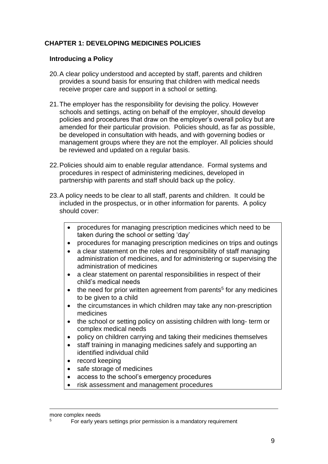#### **CHAPTER 1: DEVELOPING MEDICINES POLICIES**

#### **Introducing a Policy**

- 20.A clear policy understood and accepted by staff, parents and children provides a sound basis for ensuring that children with medical needs receive proper care and support in a school or setting.
- 21.The employer has the responsibility for devising the policy. However schools and settings, acting on behalf of the employer, should develop policies and procedures that draw on the employer's overall policy but are amended for their particular provision. Policies should, as far as possible, be developed in consultation with heads, and with governing bodies or management groups where they are not the employer. All policies should be reviewed and updated on a regular basis.
- 22.Policies should aim to enable regular attendance. Formal systems and procedures in respect of administering medicines, developed in partnership with parents and staff should back up the policy.
- 23.A policy needs to be clear to all staff, parents and children. It could be included in the prospectus, or in other information for parents. A policy should cover:
	- procedures for managing prescription medicines which need to be taken during the school or setting 'day'
	- procedures for managing prescription medicines on trips and outings
	- a clear statement on the roles and responsibility of staff managing administration of medicines, and for administering or supervising the administration of medicines
	- a clear statement on parental responsibilities in respect of their child's medical needs
	- $\bullet$  the need for prior written agreement from parents<sup>5</sup> for any medicines to be given to a child
	- the circumstances in which children may take any non-prescription medicines
	- the school or setting policy on assisting children with long- term or complex medical needs
	- policy on children carrying and taking their medicines themselves
	- staff training in managing medicines safely and supporting an identified individual child
	- record keeping
	- safe storage of medicines
	- access to the school's emergency procedures
	- risk assessment and management procedures

more complex needs

<sup>5</sup> For early years settings prior permission is a mandatory requirement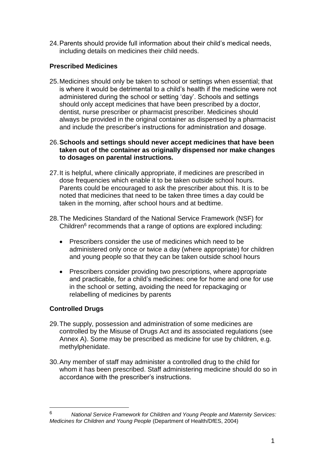24.Parents should provide full information about their child's medical needs, including details on medicines their child needs.

#### **Prescribed Medicines**

25.Medicines should only be taken to school or settings when essential; that is where it would be detrimental to a child's health if the medicine were not administered during the school or setting 'day'. Schools and settings should only accept medicines that have been prescribed by a doctor, dentist, nurse prescriber or pharmacist prescriber. Medicines should always be provided in the original container as dispensed by a pharmacist and include the prescriber's instructions for administration and dosage.

26.**Schools and settings should never accept medicines that have been taken out of the container as originally dispensed nor make changes to dosages on parental instructions.**

- 27.It is helpful, where clinically appropriate, if medicines are prescribed in dose frequencies which enable it to be taken outside school hours. Parents could be encouraged to ask the prescriber about this. It is to be noted that medicines that need to be taken three times a day could be taken in the morning, after school hours and at bedtime.
- 28.The Medicines Standard of the National Service Framework (NSF) for Children<sup>6</sup> recommends that a range of options are explored including:
	- Prescribers consider the use of medicines which need to be administered only once or twice a day (where appropriate) for children and young people so that they can be taken outside school hours
	- Prescribers consider providing two prescriptions, where appropriate and practicable, for a child's medicines: one for home and one for use in the school or setting, avoiding the need for repackaging or relabelling of medicines by parents

#### **Controlled Drugs**

- 29.The supply, possession and administration of some medicines are controlled by the Misuse of Drugs Act and its associated regulations (see Annex A). Some may be prescribed as medicine for use by children, e.g. methylphenidate.
- 30.Any member of staff may administer a controlled drug to the child for whom it has been prescribed. Staff administering medicine should do so in accordance with the prescriber's instructions.

<sup>6</sup> *National Service Framework for Children and Young People and Maternity Services: Medicines for Children and Young People* (Department of Health/DfES, 2004)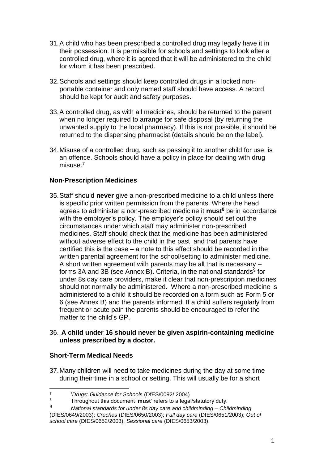- 31.A child who has been prescribed a controlled drug may legally have it in their possession. It is permissible for schools and settings to look after a controlled drug, where it is agreed that it will be administered to the child for whom it has been prescribed.
- 32.Schools and settings should keep controlled drugs in a locked nonportable container and only named staff should have access. A record should be kept for audit and safety purposes.
- 33.A controlled drug, as with all medicines, should be returned to the parent when no longer required to arrange for safe disposal (by returning the unwanted supply to the local pharmacy). If this is not possible, it should be returned to the dispensing pharmacist (details should be on the label).
- 34.Misuse of a controlled drug, such as passing it to another child for use, is an offence. Schools should have a policy in place for dealing with drug misuse.<sup>7</sup>

#### **Non-Prescription Medicines**

35.Staff should **never** give a non-prescribed medicine to a child unless there is specific prior written permission from the parents. Where the head agrees to administer a non-prescribed medicine it **must<sup>8</sup>** be in accordance with the employer's policy. The employer's policy should set out the circumstances under which staff may administer non-prescribed medicines. Staff should check that the medicine has been administered without adverse effect to the child in the past and that parents have certified this is the case – a note to this effect should be recorded in the written parental agreement for the school/setting to administer medicine. A short written agreement with parents may be all that is necessary – forms 3A and 3B (see Annex B). Criteria, in the national standards<sup>9</sup> for under 8s day care providers, make it clear that non-prescription medicines should not normally be administered. Where a non-prescribed medicine is administered to a child it should be recorded on a form such as Form 5 or 6 (see Annex B) and the parents informed. If a child suffers regularly from frequent or acute pain the parents should be encouraged to refer the matter to the child's GP

#### 36. **A child under 16 should never be given aspirin-containing medicine unless prescribed by a doctor.**

#### **Short-Term Medical Needs**

37.Many children will need to take medicines during the day at some time during their time in a school or setting. This will usually be for a short

<sup>1</sup> 7 '*Drugs: Guidance for Schools* (DfES/0092/ 2004)

<sup>&</sup>lt;sup>8</sup> Throughout this document 'must' refers to a legal/statutory duty.<br><sup>9</sup> Mational standards for under 8s day care and objidminding. Chil

<sup>9</sup> *National standards for under 8s day care and childminding* – *Childminding* (DfES/0649/2003); *Creches* (DfES/0650/2003); *Full day care* (DfES/0651/2003); *Out of school care* (DfES/0652/2003); *Sessional care* (DfES/0653/2003).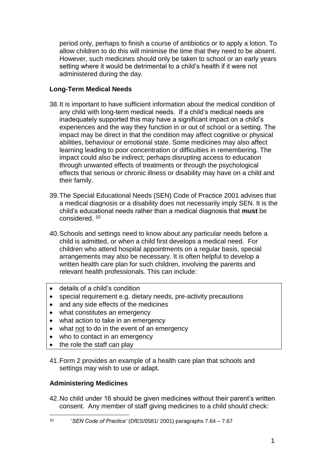period only, perhaps to finish a course of antibiotics or to apply a lotion. To allow children to do this will minimise the time that they need to be absent. However, such medicines should only be taken to school or an early years setting where it would be detrimental to a child's health if it were not administered during the day.

#### **Long-Term Medical Needs**

- 38.It is important to have sufficient information about the medical condition of any child with long-term medical needs. If a child's medical needs are inadequately supported this may have a significant impact on a child's experiences and the way they function in or out of school or a setting. The impact may be direct in that the condition may affect cognitive or physical abilities, behaviour or emotional state. Some medicines may also affect learning leading to poor concentration or difficulties in remembering. The impact could also be indirect; perhaps disrupting access to education through unwanted effects of treatments or through the psychological effects that serious or chronic illness or disability may have on a child and their family.
- 39.The Special Educational Needs (SEN) Code of Practice 2001 advises that a medical diagnosis or a disability does not necessarily imply SEN. It is the child's educational needs rather than a medical diagnosis that **must** be considered. <sup>10</sup>
- 40.Schools and settings need to know about any particular needs before a child is admitted, or when a child first develops a medical need. For children who attend hospital appointments on a regular basis, special arrangements may also be necessary. It is often helpful to develop a written health care plan for such children, involving the parents and relevant health professionals. This can include:
- details of a child's condition
- special requirement e.g. dietary needs, pre-activity precautions
- and any side effects of the medicines
- what constitutes an emergency
- what action to take in an emergency
- what not to do in the event of an emergency
- who to contact in an emergency
- the role the staff can play
- 41.Form 2 provides an example of a health care plan that schools and settings may wish to use or adapt.

#### **Administering Medicines**

42.No child under 16 should be given medicines without their parent's written consent. Any member of staff giving medicines to a child should check:

 $\frac{1}{10}$ '*SEN Code of Practice'* (DfES/0581/ 2001) paragraphs 7.64 – 7.67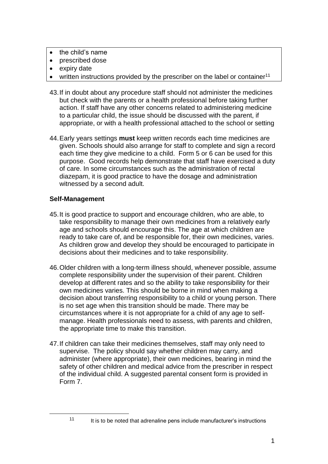- $\bullet$  the child's name
- prescribed dose
- expiry date
- $\bullet$  written instructions provided by the prescriber on the label or container<sup>11</sup>
- 43.If in doubt about any procedure staff should not administer the medicines but check with the parents or a health professional before taking further action. If staff have any other concerns related to administering medicine to a particular child, the issue should be discussed with the parent, if appropriate, or with a health professional attached to the school or setting
- 44.Early years settings **must** keep written records each time medicines are given. Schools should also arrange for staff to complete and sign a record each time they give medicine to a child. Form 5 or 6 can be used for this purpose. Good records help demonstrate that staff have exercised a duty of care. In some circumstances such as the administration of rectal diazepam, it is good practice to have the dosage and administration witnessed by a second adult.

#### **Self-Management**

- 45.It is good practice to support and encourage children, who are able, to take responsibility to manage their own medicines from a relatively early age and schools should encourage this. The age at which children are ready to take care of, and be responsible for, their own medicines, varies. As children grow and develop they should be encouraged to participate in decisions about their medicines and to take responsibility.
- 46.Older children with a long-term illness should, whenever possible, assume complete responsibility under the supervision of their parent. Children develop at different rates and so the ability to take responsibility for their own medicines varies. This should be borne in mind when making a decision about transferring responsibility to a child or young person. There is no set age when this transition should be made. There may be circumstances where it is not appropriate for a child of any age to selfmanage. Health professionals need to assess, with parents and children, the appropriate time to make this transition.
- 47.If children can take their medicines themselves, staff may only need to supervise. The policy should say whether children may carry, and administer (where appropriate), their own medicines, bearing in mind the safety of other children and medical advice from the prescriber in respect of the individual child. A suggested parental consent form is provided in Form 7.

 $11$  It is to be noted that adrenaline pens include manufacturer's instructions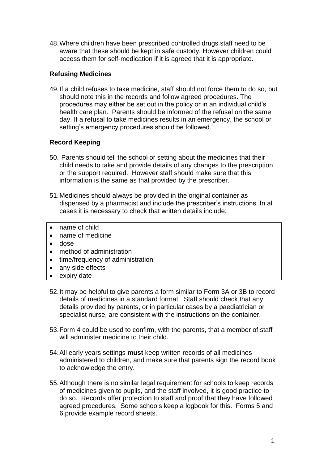48.Where children have been prescribed controlled drugs staff need to be aware that these should be kept in safe custody. However children could access them for self-medication if it is agreed that it is appropriate.

#### **Refusing Medicines**

49.If a child refuses to take medicine, staff should not force them to do so, but should note this in the records and follow agreed procedures. The procedures may either be set out in the policy or in an individual child's health care plan. Parents should be informed of the refusal on the same day. If a refusal to take medicines results in an emergency, the school or setting's emergency procedures should be followed.

#### **Record Keeping**

- 50. Parents should tell the school or setting about the medicines that their child needs to take and provide details of any changes to the prescription or the support required. However staff should make sure that this information is the same as that provided by the prescriber.
- 51.Medicines should always be provided in the original container as dispensed by a pharmacist and include the prescriber's instructions. In all cases it is necessary to check that written details include:
- name of child
- name of medicine
- dose
- method of administration
- time/frequency of administration
- any side effects
- expiry date
- 52.It may be helpful to give parents a form similar to Form 3A or 3B to record details of medicines in a standard format. Staff should check that any details provided by parents, or in particular cases by a paediatrician or specialist nurse, are consistent with the instructions on the container.
- 53.Form 4 could be used to confirm, with the parents, that a member of staff will administer medicine to their child.
- 54.All early years settings **must** keep written records of all medicines administered to children, and make sure that parents sign the record book to acknowledge the entry.
- 55.Although there is no similar legal requirement for schools to keep records of medicines given to pupils, and the staff involved, it is good practice to do so. Records offer protection to staff and proof that they have followed agreed procedures. Some schools keep a logbook for this. Forms 5 and 6 provide example record sheets.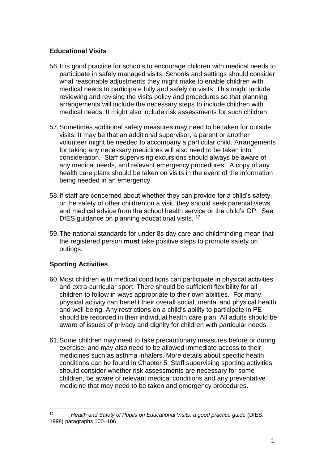#### **Educational Visits**

- 56.It is good practice for schools to encourage children with medical needs to participate in safely managed visits. Schools and settings should consider what reasonable adjustments they might make to enable children with medical needs to participate fully and safely on visits. This might include reviewing and revising the visits policy and procedures so that planning arrangements will include the necessary steps to include children with medical needs. It might also include risk assessments for such children.
- 57.Sometimes additional safety measures may need to be taken for outside visits. It may be that an additional supervisor, a parent or another volunteer might be needed to accompany a particular child. Arrangements for taking any necessary medicines will also need to be taken into consideration. Staff supervising excursions should always be aware of any medical needs, and relevant emergency procedures. A copy of any health care plans should be taken on visits in the event of the information being needed in an emergency.
- 58.If staff are concerned about whether they can provide for a child's safety, or the safety of other children on a visit, they should seek parental views and medical advice from the school health service or the child's GP. See DfES guidance on planning educational visits. <sup>12</sup>
- 59.The national standards for under 8s day care and childminding mean that the registered person **must** take positive steps to promote safety on outings.

#### **Sporting Activities**

- 60.Most children with medical conditions can participate in physical activities and extra-curricular sport. There should be sufficient flexibility for all children to follow in ways appropriate to their own abilities. For many, physical activity can benefit their overall social, mental and physical health and well-being. Any restrictions on a child's ability to participate in PE should be recorded in their individual health care plan. All adults should be aware of issues of privacy and dignity for children with particular needs.
- 61.Some children may need to take precautionary measures before or during exercise, and may also need to be allowed immediate access to their medicines such as asthma inhalers. More details about specific health conditions can be found in Chapter 5. Staff supervising sporting activities should consider whether risk assessments are necessary for some children, be aware of relevant medical conditions and any preventative medicine that may need to be taken and emergency procedures.

<sup>1</sup> <sup>12</sup> *Health and Safety of Pupils on Educational Visits: a good practice guide* (DfES, 1998) paragraphs 100–106.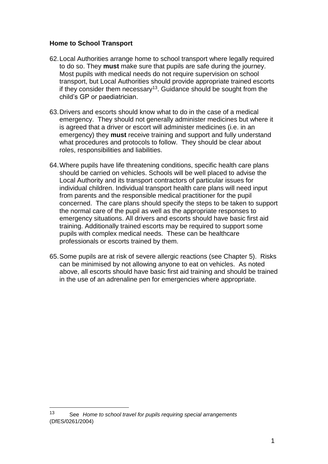#### **Home to School Transport**

- 62.Local Authorities arrange home to school transport where legally required to do so. They **must** make sure that pupils are safe during the journey. Most pupils with medical needs do not require supervision on school transport, but Local Authorities should provide appropriate trained escorts if they consider them necessary<sup>13</sup>. Guidance should be sought from the child's GP or paediatrician.
- 63.Drivers and escorts should know what to do in the case of a medical emergency. They should not generally administer medicines but where it is agreed that a driver or escort will administer medicines (i.e. in an emergency) they **must** receive training and support and fully understand what procedures and protocols to follow. They should be clear about roles, responsibilities and liabilities.
- 64.Where pupils have life threatening conditions, specific health care plans should be carried on vehicles. Schools will be well placed to advise the Local Authority and its transport contractors of particular issues for individual children. Individual transport health care plans will need input from parents and the responsible medical practitioner for the pupil concerned. The care plans should specify the steps to be taken to support the normal care of the pupil as well as the appropriate responses to emergency situations. All drivers and escorts should have basic first aid training. Additionally trained escorts may be required to support some pupils with complex medical needs. These can be healthcare professionals or escorts trained by them.
- 65.Some pupils are at risk of severe allergic reactions (see Chapter 5). Risks can be minimised by not allowing anyone to eat on vehicles. As noted above, all escorts should have basic first aid training and should be trained in the use of an adrenaline pen for emergencies where appropriate.

<sup>13</sup> See *Home to school travel for pupils requiring special arrangements* (DfES/0261/2004)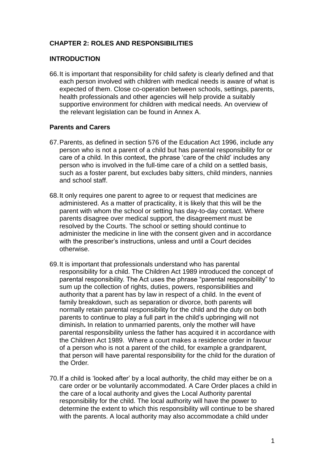#### **CHAPTER 2: ROLES AND RESPONSIBILITIES**

#### **INTRODUCTION**

66.It is important that responsibility for child safety is clearly defined and that each person involved with children with medical needs is aware of what is expected of them. Close co-operation between schools, settings, parents, health professionals and other agencies will help provide a suitably supportive environment for children with medical needs. An overview of the relevant legislation can be found in Annex A.

#### **Parents and Carers**

- 67.Parents, as defined in section 576 of the Education Act 1996, include any person who is not a parent of a child but has parental responsibility for or care of a child. In this context, the phrase 'care of the child' includes any person who is involved in the full-time care of a child on a settled basis, such as a foster parent, but excludes baby sitters, child minders, nannies and school staff.
- 68.It only requires one parent to agree to or request that medicines are administered. As a matter of practicality, it is likely that this will be the parent with whom the school or setting has day-to-day contact. Where parents disagree over medical support, the disagreement must be resolved by the Courts. The school or setting should continue to administer the medicine in line with the consent given and in accordance with the prescriber's instructions, unless and until a Court decides otherwise.
- 69.It is important that professionals understand who has parental responsibility for a child. The Children Act 1989 introduced the concept of parental responsibility. The Act uses the phrase "parental responsibility" to sum up the collection of rights, duties, powers, responsibilities and authority that a parent has by law in respect of a child. In the event of family breakdown, such as separation or divorce, both parents will normally retain parental responsibility for the child and the duty on both parents to continue to play a full part in the child's upbringing will not diminish**.** In relation to unmarried parents, only the mother will have parental responsibility unless the father has acquired it in accordance with the Children Act 1989. Where a court makes a residence order in favour of a person who is not a parent of the child, for example a grandparent, that person will have parental responsibility for the child for the duration of the Order.
- 70.If a child is 'looked after' by a local authority, the child may either be on a care order or be voluntarily accommodated. A Care Order places a child in the care of a local authority and gives the Local Authority parental responsibility for the child. The local authority will have the power to determine the extent to which this responsibility will continue to be shared with the parents. A local authority may also accommodate a child under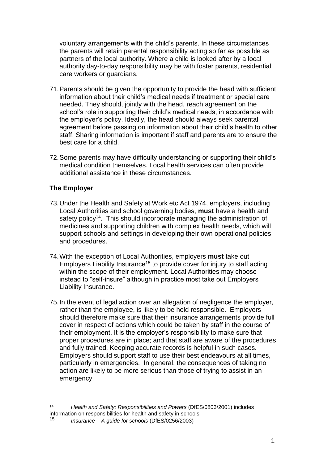voluntary arrangements with the child's parents. In these circumstances the parents will retain parental responsibility acting so far as possible as partners of the local authority. Where a child is looked after by a local authority day-to-day responsibility may be with foster parents, residential care workers or guardians.

- 71.Parents should be given the opportunity to provide the head with sufficient information about their child's medical needs if treatment or special care needed. They should, jointly with the head, reach agreement on the school's role in supporting their child's medical needs, in accordance with the employer's policy. Ideally, the head should always seek parental agreement before passing on information about their child's health to other staff. Sharing information is important if staff and parents are to ensure the best care for a child.
- 72.Some parents may have difficulty understanding or supporting their child's medical condition themselves. Local health services can often provide additional assistance in these circumstances.

#### **The Employer**

- 73.Under the Health and Safety at Work etc Act 1974, employers, including Local Authorities and school governing bodies, **must** have a health and safety policy<sup>14</sup>. This should incorporate managing the administration of medicines and supporting children with complex health needs, which will support schools and settings in developing their own operational policies and procedures.
- 74.With the exception of Local Authorities, employers **must** take out Employers Liability Insurance<sup>15</sup> to provide cover for injury to staff acting within the scope of their employment. Local Authorities may choose instead to "self-insure" although in practice most take out Employers Liability Insurance.
- 75.In the event of legal action over an allegation of negligence the employer, rather than the employee, is likely to be held responsible. Employers should therefore make sure that their insurance arrangements provide full cover in respect of actions which could be taken by staff in the course of their employment. It is the employer's responsibility to make sure that proper procedures are in place; and that staff are aware of the procedures and fully trained. Keeping accurate records is helpful in such cases. Employers should support staff to use their best endeavours at all times, particularly in emergencies. In general, the consequences of taking no action are likely to be more serious than those of trying to assist in an emergency.

<sup>&</sup>lt;u>.</u> <sup>14</sup> *Health and Safety: Responsibilities and Powers* (DfES/0803/2001) includes information on responsibilities for health and safety in schools<br>15 **Insurance** A guide for schools (Df ES/0356/2002)

<sup>15</sup> *Insurance – A guide for schools* (DfES/0256/2003)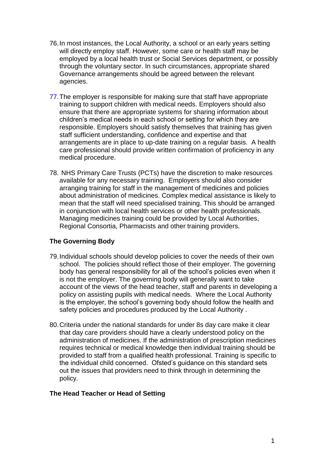- 76.In most instances, the Local Authority, a school or an early years setting will directly employ staff. However, some care or health staff may be employed by a local health trust or Social Services department, or possibly through the voluntary sector. In such circumstances, appropriate shared Governance arrangements should be agreed between the relevant agencies.
- 77.The employer is responsible for making sure that staff have appropriate training to support children with medical needs. Employers should also ensure that there are appropriate systems for sharing information about children's medical needs in each school or setting for which they are responsible. Employers should satisfy themselves that training has given staff sufficient understanding, confidence and expertise and that arrangements are in place to up-date training on a regular basis. A health care professional should provide written confirmation of proficiency in any medical procedure.
- 78. NHS Primary Care Trusts (PCTs) have the discretion to make resources available for any necessary training. Employers should also consider arranging training for staff in the management of medicines and policies about administration of medicines. Complex medical assistance is likely to mean that the staff will need specialised training. This should be arranged in conjunction with local health services or other health professionals. Managing medicines training could be provided by Local Authorities, Regional Consortia, Pharmacists and other training providers.

#### **The Governing Body**

- 79.Individual schools should develop policies to cover the needs of their own school. The policies should reflect those of their employer. The governing body has general responsibility for all of the school's policies even when it is not the employer. The governing body will generally want to take account of the views of the head teacher, staff and parents in developing a policy on assisting pupils with medical needs. Where the Local Authority is the employer, the school's governing body should follow the health and safety policies and procedures produced by the Local Authority .
- 80.Criteria under the national standards for under 8s day care make it clear that day care providers should have a clearly understood policy on the administration of medicines. If the administration of prescription medicines requires technical or medical knowledge then individual training should be provided to staff from a qualified health professional. Training is specific to the individual child concerned. Ofsted's guidance on this standard sets out the issues that providers need to think through in determining the policy.

#### **The Head Teacher or Head of Setting**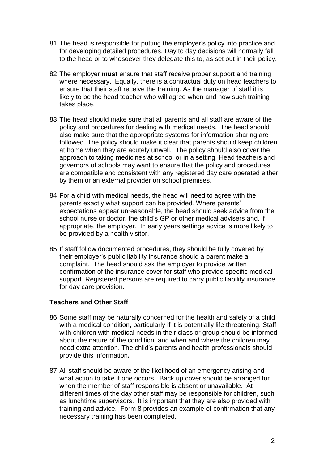- 81.The head is responsible for putting the employer's policy into practice and for developing detailed procedures. Day to day decisions will normally fall to the head or to whosoever they delegate this to, as set out in their policy.
- 82.The employer **must** ensure that staff receive proper support and training where necessary. Equally, there is a contractual duty on head teachers to ensure that their staff receive the training. As the manager of staff it is likely to be the head teacher who will agree when and how such training takes place.
- 83.The head should make sure that all parents and all staff are aware of the policy and procedures for dealing with medical needs. The head should also make sure that the appropriate systems for information sharing are followed. The policy should make it clear that parents should keep children at home when they are acutely unwell. The policy should also cover the approach to taking medicines at school or in a setting. Head teachers and governors of schools may want to ensure that the policy and procedures are compatible and consistent with any registered day care operated either by them or an external provider on school premises.
- 84.For a child with medical needs, the head will need to agree with the parents exactly what support can be provided. Where parents' expectations appear unreasonable, the head should seek advice from the school nurse or doctor, the child's GP or other medical advisers and, if appropriate, the employer. In early years settings advice is more likely to be provided by a health visitor.
- 85.If staff follow documented procedures, they should be fully covered by their employer's public liability insurance should a parent make a complaint. The head should ask the employer to provide written confirmation of the insurance cover for staff who provide specific medical support. Registered persons are required to carry public liability insurance for day care provision.

#### **Teachers and Other Staff**

- 86.Some staff may be naturally concerned for the health and safety of a child with a medical condition, particularly if it is potentially life threatening. Staff with children with medical needs in their class or group should be informed about the nature of the condition, and when and where the children may need extra attention. The child's parents and health professionals should provide this information**.**
- 87.All staff should be aware of the likelihood of an emergency arising and what action to take if one occurs. Back up cover should be arranged for when the member of staff responsible is absent or unavailable. At different times of the day other staff may be responsible for children, such as lunchtime supervisors. It is important that they are also provided with training and advice. Form 8 provides an example of confirmation that any necessary training has been completed.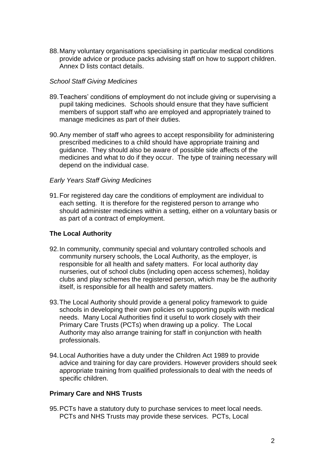88.Many voluntary organisations specialising in particular medical conditions provide advice or produce packs advising staff on how to support children. Annex D lists contact details.

#### *School Staff Giving Medicines*

- 89.Teachers' conditions of employment do not include giving or supervising a pupil taking medicines. Schools should ensure that they have sufficient members of support staff who are employed and appropriately trained to manage medicines as part of their duties.
- 90.Any member of staff who agrees to accept responsibility for administering prescribed medicines to a child should have appropriate training and guidance. They should also be aware of possible side affects of the medicines and what to do if they occur. The type of training necessary will depend on the individual case.

#### *Early Years Staff Giving Medicines*

91.For registered day care the conditions of employment are individual to each setting. It is therefore for the registered person to arrange who should administer medicines within a setting, either on a voluntary basis or as part of a contract of employment.

#### **The Local Authority**

- 92.In community, community special and voluntary controlled schools and community nursery schools, the Local Authority, as the employer, is responsible for all health and safety matters. For local authority day nurseries, out of school clubs (including open access schemes), holiday clubs and play schemes the registered person, which may be the authority itself, is responsible for all health and safety matters.
- 93.The Local Authority should provide a general policy framework to guide schools in developing their own policies on supporting pupils with medical needs. Many Local Authorities find it useful to work closely with their Primary Care Trusts (PCTs) when drawing up a policy. The Local Authority may also arrange training for staff in conjunction with health professionals.
- 94.Local Authorities have a duty under the Children Act 1989 to provide advice and training for day care providers. However providers should seek appropriate training from qualified professionals to deal with the needs of specific children.

#### **Primary Care and NHS Trusts**

95.PCTs have a statutory duty to purchase services to meet local needs. PCTs and NHS Trusts may provide these services. PCTs, Local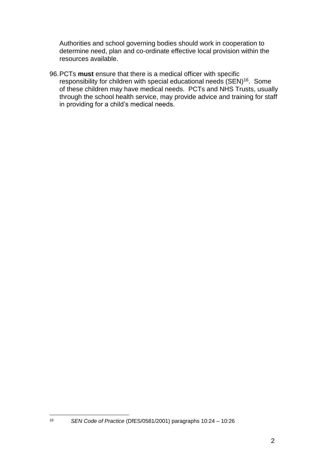Authorities and school governing bodies should work in cooperation to determine need, plan and co-ordinate effective local provision within the resources available.

96.PCTs **must** ensure that there is a medical officer with specific responsibility for children with special educational needs (SEN)<sup>16</sup>. Some of these children may have medical needs. PCTs and NHS Trusts, usually through the school health service, may provide advice and training for staff in providing for a child's medical needs.

<sup>16</sup> *SEN Code of Practice* (DfES/0581/2001) paragraphs 10:24 – 10:26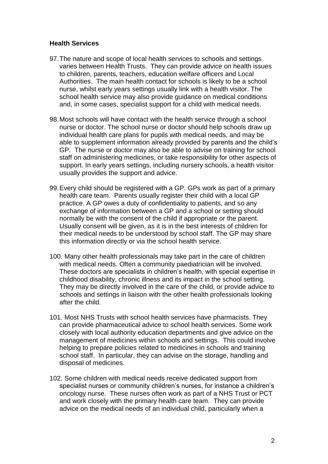#### **Health Services**

- 97.The nature and scope of local health services to schools and settings varies between Health Trusts. They can provide advice on health issues to children, parents, teachers, education welfare officers and Local Authorities. The main health contact for schools is likely to be a school nurse, whilst early years settings usually link with a health visitor. The school health service may also provide guidance on medical conditions and, in some cases, specialist support for a child with medical needs.
- 98.Most schools will have contact with the health service through a school nurse or doctor. The school nurse or doctor should help schools draw up individual health care plans for pupils with medical needs, and may be able to supplement information already provided by parents and the child's GP. The nurse or doctor may also be able to advise on training for school staff on administering medicines, or take responsibility for other aspects of support. In early years settings, including nursery schools, a health visitor usually provides the support and advice.
- 99.Every child should be registered with a GP. GPs work as part of a primary health care team. Parents usually register their child with a local GP practice. A GP owes a duty of confidentiality to patients, and so any exchange of information between a GP and a school or setting should normally be with the consent of the child if appropriate or the parent. Usually consent will be given, as it is in the best interests of children for their medical needs to be understood by school staff. The GP may share this information directly or via the school health service.
- 100. Many other health professionals may take part in the care of children with medical needs. Often a community paediatrician will be involved. These doctors are specialists in children's health, with special expertise in childhood disability, chronic illness and its impact in the school setting. They may be directly involved in the care of the child, or provide advice to schools and settings in liaison with the other health professionals looking after the child.
- 101. Most NHS Trusts with school health services have pharmacists. They can provide pharmaceutical advice to school health services. Some work closely with local authority education departments and give advice on the management of medicines within schools and settings. This could involve helping to prepare policies related to medicines in schools and training school staff. In particular, they can advise on the storage, handling and disposal of medicines.
- 102. Some children with medical needs receive dedicated support from specialist nurses or community children's nurses, for instance a children's oncology nurse. These nurses often work as part of a NHS Trust or PCT and work closely with the primary health care team. They can provide advice on the medical needs of an individual child, particularly when a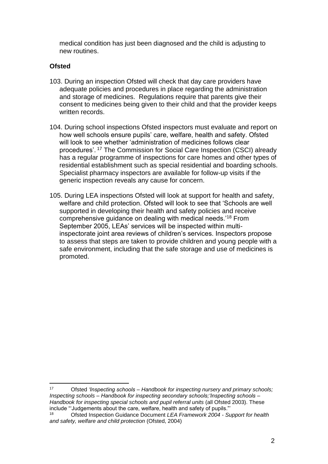medical condition has just been diagnosed and the child is adjusting to new routines.

#### **Ofsted**

- 103. During an inspection Ofsted will check that day care providers have adequate policies and procedures in place regarding the administration and storage of medicines. Regulations require that parents give their consent to medicines being given to their child and that the provider keeps written records.
- 104. During school inspections Ofsted inspectors must evaluate and report on how well schools ensure pupils' care, welfare, health and safety. Ofsted will look to see whether 'administration of medicines follows clear procedures'. <sup>17</sup> The Commission for Social Care Inspection (CSCI) already has a regular programme of inspections for care homes and other types of residential establishment such as special residential and boarding schools. Specialist pharmacy inspectors are available for follow-up visits if the generic inspection reveals any cause for concern.
- 105. During LEA inspections Ofsted will look at support for health and safety, welfare and child protection. Ofsted will look to see that 'Schools are well supported in developing their health and safety policies and receive comprehensive guidance on dealing with medical needs.'<sup>18</sup> From September 2005, LEAs' services will be inspected within multiinspectorate joint area reviews of children's services. Inspectors propose to assess that steps are taken to provide children and young people with a safe environment, including that the safe storage and use of medicines is promoted.

 $17$ <sup>17</sup> Ofsted *'Inspecting schools – Handbook for inspecting nursery and primary schools; Inspecting schools – Handbook for inspecting secondary schools;'Inspecting schools – Handbook for inspecting special schools and pupil referral units* (all Ofsted 2003). These include "'Judgements about the care, welfare, health and safety of pupils."'

<sup>18</sup> Ofsted Inspection Guidance Document *LEA Framework 2004 - Support for health and safety, welfare and child protection* (Ofsted, 2004)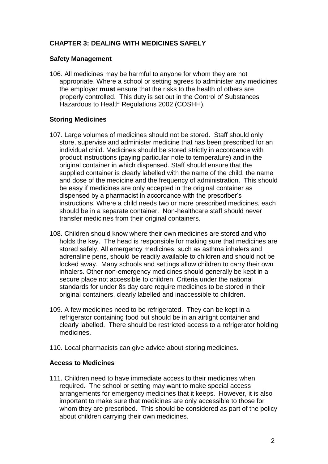#### **CHAPTER 3: DEALING WITH MEDICINES SAFELY**

#### **Safety Management**

106. All medicines may be harmful to anyone for whom they are not appropriate. Where a school or setting agrees to administer any medicines the employer **must** ensure that the risks to the health of others are properly controlled. This duty is set out in the Control of Substances Hazardous to Health Regulations 2002 (COSHH).

#### **Storing Medicines**

- 107. Large volumes of medicines should not be stored. Staff should only store, supervise and administer medicine that has been prescribed for an individual child. Medicines should be stored strictly in accordance with product instructions (paying particular note to temperature) and in the original container in which dispensed. Staff should ensure that the supplied container is clearly labelled with the name of the child, the name and dose of the medicine and the frequency of administration. This should be easy if medicines are only accepted in the original container as dispensed by a pharmacist in accordance with the prescriber's instructions. Where a child needs two or more prescribed medicines, each should be in a separate container. Non-healthcare staff should never transfer medicines from their original containers.
- 108. Children should know where their own medicines are stored and who holds the key. The head is responsible for making sure that medicines are stored safely. All emergency medicines, such as asthma inhalers and adrenaline pens, should be readily available to children and should not be locked away. Many schools and settings allow children to carry their own inhalers. Other non-emergency medicines should generally be kept in a secure place not accessible to children. Criteria under the national standards for under 8s day care require medicines to be stored in their original containers, clearly labelled and inaccessible to children.
- 109. A few medicines need to be refrigerated. They can be kept in a refrigerator containing food but should be in an airtight container and clearly labelled. There should be restricted access to a refrigerator holding medicines.
- 110. Local pharmacists can give advice about storing medicines.

#### **Access to Medicines**

111. Children need to have immediate access to their medicines when required. The school or setting may want to make special access arrangements for emergency medicines that it keeps. However, it is also important to make sure that medicines are only accessible to those for whom they are prescribed. This should be considered as part of the policy about children carrying their own medicines.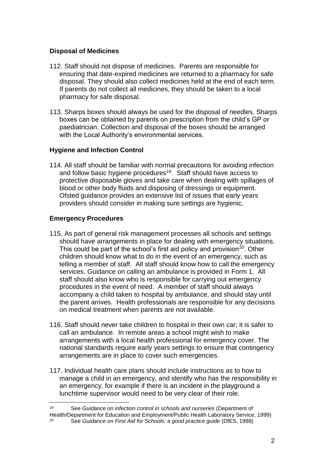#### **Disposal of Medicines**

- 112. Staff should not dispose of medicines. Parents are responsible for ensuring that date-expired medicines are returned to a pharmacy for safe disposal. They should also collect medicines held at the end of each term. If parents do not collect all medicines, they should be taken to a local pharmacy for safe disposal.
- 113. Sharps boxes should always be used for the disposal of needles. Sharps boxes can be obtained by parents on prescription from the child's GP or paediatrician. Collection and disposal of the boxes should be arranged with the Local Authority's environmental services.

#### **Hygiene and Infection Control**

114. All staff should be familiar with normal precautions for avoiding infection and follow basic hygiene procedures<sup>19</sup>. Staff should have access to protective disposable gloves and take care when dealing with spillages of blood or other body fluids and disposing of dressings or equipment. Ofsted guidance provides an extensive list of issues that early years providers should consider in making sure settings are hygienic.

#### **Emergency Procedures**

- 115. As part of general risk management processes all schools and settings should have arrangements in place for dealing with emergency situations. This could be part of the school's first aid policy and provision<sup>20</sup>. Other children should know what to do in the event of an emergency, such as telling a member of staff. All staff should know how to call the emergency services. Guidance on calling an ambulance is provided in Form 1. All staff should also know who is responsible for carrying out emergency procedures in the event of need. A member of staff should always accompany a child taken to hospital by ambulance, and should stay until the parent arrives. Health professionals are responsible for any decisions on medical treatment when parents are not available.
- 116. Staff should never take children to hospital in their own car; it is safer to call an ambulance. In remote areas a school might wish to make arrangements with a local health professional for emergency cover. The national standards require early years settings to ensure that contingency arrangements are in place to cover such emergencies.
- 117. Individual health care plans should include instructions as to how to manage a child in an emergency, and identify who has the responsibility in an emergency, for example if there is an incident in the playground a lunchtime supervisor would need to be very clear of their role.
- 1 <sup>19</sup> See *Guidance on infection control in schools and nurseries* (Department of Health/Department for Education and Employment/Public Health Laboratory Service, 1999)

<sup>20</sup> See *Guidance on First Aid for Schools: a good practice guide* (DfES, 1998)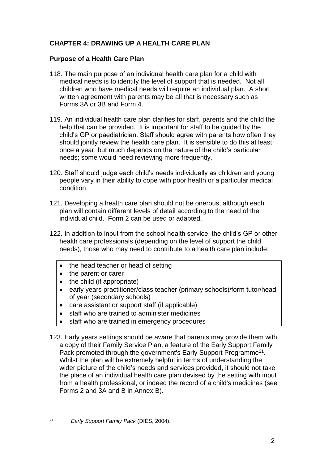#### **CHAPTER 4: DRAWING UP A HEALTH CARE PLAN**

#### **Purpose of a Health Care Plan**

- 118. The main purpose of an individual health care plan for a child with medical needs is to identify the level of support that is needed. Not all children who have medical needs will require an individual plan. A short written agreement with parents may be all that is necessary such as Forms 3A or 3B and Form 4.
- 119. An individual health care plan clarifies for staff, parents and the child the help that can be provided. It is important for staff to be guided by the child's GP or paediatrician. Staff should agree with parents how often they should jointly review the health care plan. It is sensible to do this at least once a year, but much depends on the nature of the child's particular needs; some would need reviewing more frequently.
- 120. Staff should judge each child's needs individually as children and young people vary in their ability to cope with poor health or a particular medical condition.
- 121. Developing a health care plan should not be onerous, although each plan will contain different levels of detail according to the need of the individual child. Form 2 can be used or adapted.
- 122. In addition to input from the school health service, the child's GP or other health care professionals (depending on the level of support the child needs), those who may need to contribute to a health care plan include:
	- the head teacher or head of setting
	- the parent or carer
	- $\bullet$  the child (if appropriate)
	- early years practitioner/class teacher (primary schools)/form tutor/head of year (secondary schools)
	- care assistant or support staff (if applicable)
	- staff who are trained to administer medicines
	- staff who are trained in emergency procedures
- 123. Early years settings should be aware that parents may provide them with a copy of their Family Service Plan, a feature of the Early Support Family Pack promoted through the government's Early Support Programme<sup>21</sup>. Whilst the plan will be extremely helpful in terms of understanding the wider picture of the child's needs and services provided, it should not take the place of an individual health care plan devised by the setting with input from a health professional, or indeed the record of a child's medicines (see Forms 2 and 3A and B in Annex B).

 $21$ <sup>21</sup> *Early Support Family Pack* (DfES, 2004).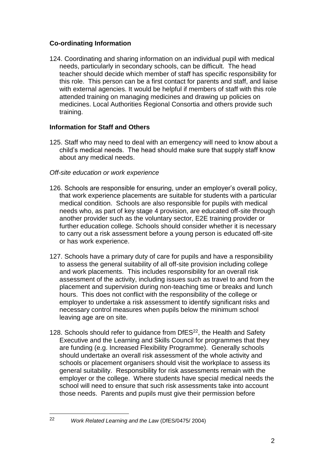#### **Co-ordinating Information**

124. Coordinating and sharing information on an individual pupil with medical needs, particularly in secondary schools, can be difficult. The head teacher should decide which member of staff has specific responsibility for this role. This person can be a first contact for parents and staff, and liaise with external agencies. It would be helpful if members of staff with this role attended training on managing medicines and drawing up policies on medicines. Local Authorities Regional Consortia and others provide such training.

#### **Information for Staff and Others**

125. Staff who may need to deal with an emergency will need to know about a child's medical needs. The head should make sure that supply staff know about any medical needs.

#### *Off-site education or work experience*

- 126. Schools are responsible for ensuring, under an employer's overall policy, that work experience placements are suitable for students with a particular medical condition. Schools are also responsible for pupils with medical needs who, as part of key stage 4 provision, are educated off-site through another provider such as the voluntary sector, E2E training provider or further education college. Schools should consider whether it is necessary to carry out a risk assessment before a young person is educated off-site or has work experience.
- 127. Schools have a primary duty of care for pupils and have a responsibility to assess the general suitability of all off-site provision including college and work placements. This includes responsibility for an overall risk assessment of the activity, including issues such as travel to and from the placement and supervision during non-teaching time or breaks and lunch hours. This does not conflict with the responsibility of the college or employer to undertake a risk assessment to identify significant risks and necessary control measures when pupils below the minimum school leaving age are on site.
- 128. Schools should refer to guidance from DfES<sup>22</sup>, the Health and Safety Executive and the Learning and Skills Council for programmes that they are funding (e.g. Increased Flexibility Programme). Generally schools should undertake an overall risk assessment of the whole activity and schools or placement organisers should visit the workplace to assess its general suitability. Responsibility for risk assessments remain with the employer or the college. Where students have special medical needs the school will need to ensure that such risk assessments take into account those needs. Parents and pupils must give their permission before

<sup>22</sup> *Work Related Learning and the Law* (DfES/0475/ 2004)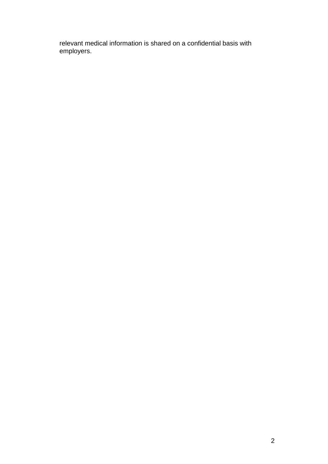relevant medical information is shared on a confidential basis with employers.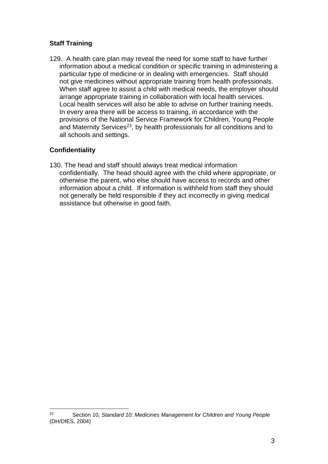#### **Staff Training**

129. A health care plan may reveal the need for some staff to have further information about a medical condition or specific training in administering a particular type of medicine or in dealing with emergencies. Staff should not give medicines without appropriate training from health professionals. When staff agree to assist a child with medical needs, the employer should arrange appropriate training in collaboration with local health services. Local health services will also be able to advise on further training needs. In every area there will be access to training, in accordance with the provisions of the National Service Framework for Children, Young People and Maternity Services<sup>23</sup>, by health professionals for all conditions and to all schools and settings.

#### **Confidentiality**

130. The head and staff should always treat medical information confidentially. The head should agree with the child where appropriate, or otherwise the parent, who else should have access to records and other information about a child. If information is withheld from staff they should not generally be held responsible if they act incorrectly in giving medical assistance but otherwise in good faith.

<sup>1</sup> 23 Section 10, *Standard 10: Medicines Management for Children and Young People* (DH/DfES, 2004)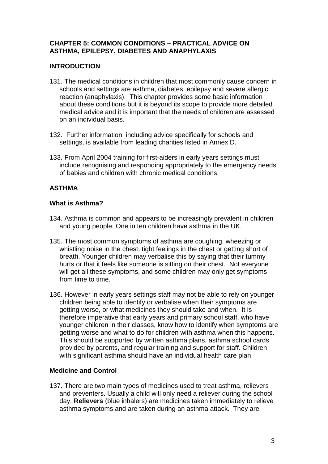#### **CHAPTER 5: COMMON CONDITIONS – PRACTICAL ADVICE ON ASTHMA, EPILEPSY, DIABETES AND ANAPHYLAXIS**

#### **INTRODUCTION**

- 131. The medical conditions in children that most commonly cause concern in schools and settings are asthma, diabetes, epilepsy and severe allergic reaction (anaphylaxis). This chapter provides some basic information about these conditions but it is beyond its scope to provide more detailed medical advice and it is important that the needs of children are assessed on an individual basis.
- 132. Further information, including advice specifically for schools and settings, is available from leading charities listed in Annex D.
- 133. From April 2004 training for first-aiders in early years settings must include recognising and responding appropriately to the emergency needs of babies and children with chronic medical conditions.

#### **ASTHMA**

#### **What is Asthma?**

- 134. Asthma is common and appears to be increasingly prevalent in children and young people. One in ten children have asthma in the UK.
- 135. The most common symptoms of asthma are coughing, wheezing or whistling noise in the chest, tight feelings in the chest or getting short of breath. Younger children may verbalise this by saying that their tummy hurts or that it feels like someone is sitting on their chest. Not everyone will get all these symptoms, and some children may only get symptoms from time to time.
- 136. However in early years settings staff may not be able to rely on younger children being able to identify or verbalise when their symptoms are getting worse, or what medicines they should take and when. It is therefore imperative that early years and primary school staff, who have younger children in their classes, know how to identify when symptoms are getting worse and what to do for children with asthma when this happens. This should be supported by written asthma plans, asthma school cards provided by parents, and regular training and support for staff. Children with significant asthma should have an individual health care plan.

#### **Medicine and Control**

137. There are two main types of medicines used to treat asthma, relievers and preventers. Usually a child will only need a reliever during the school day. **Relievers** (blue inhalers) are medicines taken immediately to relieve asthma symptoms and are taken during an asthma attack. They are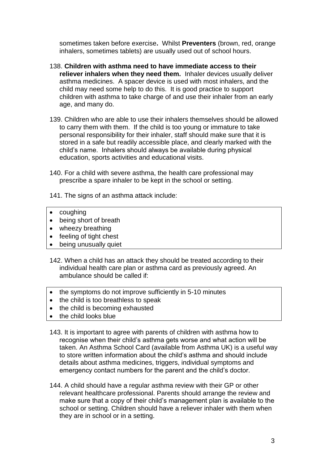sometimes taken before exercise**.** Whilst **Preventers** (brown, red, orange inhalers, sometimes tablets) are usually used out of school hours.

- 138. **Children with asthma need to have immediate access to their reliever inhalers when they need them.** Inhaler devices usually deliver asthma medicines. A spacer device is used with most inhalers, and the child may need some help to do this. It is good practice to support children with asthma to take charge of and use their inhaler from an early age, and many do.
- 139. Children who are able to use their inhalers themselves should be allowed to carry them with them. If the child is too young or immature to take personal responsibility for their inhaler, staff should make sure that it is stored in a safe but readily accessible place, and clearly marked with the child's name. Inhalers should always be available during physical education, sports activities and educational visits.
- 140. For a child with severe asthma, the health care professional may prescribe a spare inhaler to be kept in the school or setting.
- 141. The signs of an asthma attack include:
- coughing
- being short of breath
- wheezy breathing
- feeling of tight chest
- being unusually quiet
- 142. When a child has an attack they should be treated according to their individual health care plan or asthma card as previously agreed. An ambulance should be called if:
- the symptoms do not improve sufficiently in 5-10 minutes
- the child is too breathless to speak
- the child is becoming exhausted
- the child looks blue
- 143. It is important to agree with parents of children with asthma how to recognise when their child's asthma gets worse and what action will be taken. An Asthma School Card (available from Asthma UK) is a useful way to store written information about the child's asthma and should include details about asthma medicines, triggers, individual symptoms and emergency contact numbers for the parent and the child's doctor.
- 144. A child should have a regular asthma review with their GP or other relevant healthcare professional. Parents should arrange the review and make sure that a copy of their child's management plan is available to the school or setting. Children should have a reliever inhaler with them when they are in school or in a setting.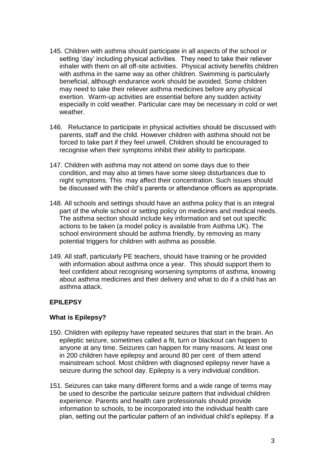- 145. Children with asthma should participate in all aspects of the school or setting 'day' including physical activities. They need to take their reliever inhaler with them on all off-site activities. Physical activity benefits children with asthma in the same way as other children. Swimming is particularly beneficial, although endurance work should be avoided. Some children may need to take their reliever asthma medicines before any physical exertion. Warm-up activities are essential before any sudden activity especially in cold weather. Particular care may be necessary in cold or wet weather
- 146. Reluctance to participate in physical activities should be discussed with parents, staff and the child. However children with asthma should not be forced to take part if they feel unwell. Children should be encouraged to recognise when their symptoms inhibit their ability to participate.
- 147. Children with asthma may not attend on some days due to their condition, and may also at times have some sleep disturbances due to night symptoms. This may affect their concentration. Such issues should be discussed with the child's parents or attendance officers as appropriate.
- 148. All schools and settings should have an asthma policy that is an integral part of the whole school or setting policy on medicines and medical needs. The asthma section should include key information and set out specific actions to be taken (a model policy is available from Asthma UK). The school environment should be asthma friendly, by removing as many potential triggers for children with asthma as possible.
- 149. All staff, particularly PE teachers, should have training or be provided with information about asthma once a year. This should support them to feel confident about recognising worsening symptoms of asthma, knowing about asthma medicines and their delivery and what to do if a child has an asthma attack.

#### **EPILEPSY**

#### **What is Epilepsy?**

- 150. Children with epilepsy have repeated seizures that start in the brain. An epileptic seizure, sometimes called a fit, turn or blackout can happen to anyone at any time. Seizures can happen for many reasons. At least one in 200 children have epilepsy and around 80 per cent of them attend mainstream school. Most children with diagnosed epilepsy never have a seizure during the school day. Epilepsy is a very individual condition.
- 151. Seizures can take many different forms and a wide range of terms may be used to describe the particular seizure pattern that individual children experience. Parents and health care professionals should provide information to schools, to be incorporated into the individual health care plan, setting out the particular pattern of an individual child's epilepsy. If a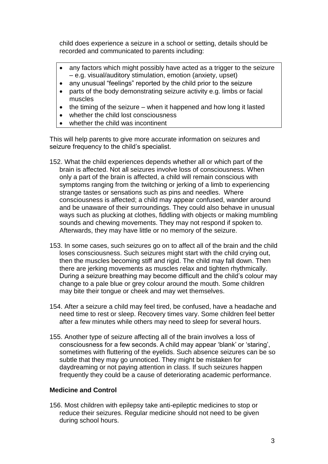child does experience a seizure in a school or setting, details should be recorded and communicated to parents including:

- any factors which might possibly have acted as a trigger to the seizure – e.g. visual/auditory stimulation, emotion (anxiety, upset)
- any unusual "feelings" reported by the child prior to the seizure
- parts of the body demonstrating seizure activity e.g. limbs or facial muscles
- $\bullet$  the timing of the seizure when it happened and how long it lasted
- whether the child lost consciousness
- whether the child was incontinent

This will help parents to give more accurate information on seizures and seizure frequency to the child's specialist.

- 152. What the child experiences depends whether all or which part of the brain is affected. Not all seizures involve loss of consciousness. When only a part of the brain is affected, a child will remain conscious with symptoms ranging from the twitching or jerking of a limb to experiencing strange tastes or sensations such as pins and needles. Where consciousness is affected; a child may appear confused, wander around and be unaware of their surroundings. They could also behave in unusual ways such as plucking at clothes, fiddling with objects or making mumbling sounds and chewing movements. They may not respond if spoken to. Afterwards, they may have little or no memory of the seizure.
- 153. In some cases, such seizures go on to affect all of the brain and the child loses consciousness. Such seizures might start with the child crying out, then the muscles becoming stiff and rigid. The child may fall down. Then there are jerking movements as muscles relax and tighten rhythmically. During a seizure breathing may become difficult and the child's colour may change to a pale blue or grey colour around the mouth. Some children may bite their tongue or cheek and may wet themselves.
- 154. After a seizure a child may feel tired, be confused, have a headache and need time to rest or sleep. Recovery times vary. Some children feel better after a few minutes while others may need to sleep for several hours.
- 155. Another type of seizure affecting all of the brain involves a loss of consciousness for a few seconds. A child may appear 'blank' or 'staring', sometimes with fluttering of the eyelids. Such absence seizures can be so subtle that they may go unnoticed. They might be mistaken for daydreaming or not paying attention in class. If such seizures happen frequently they could be a cause of deteriorating academic performance.

#### **Medicine and Control**

156. Most children with epilepsy take anti-epileptic medicines to stop or reduce their seizures. Regular medicine should not need to be given during school hours.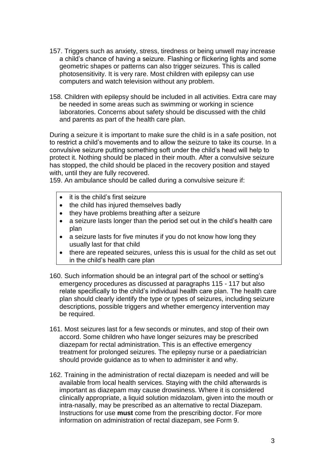- 157. Triggers such as anxiety, stress, tiredness or being unwell may increase a child's chance of having a seizure. Flashing or flickering lights and some geometric shapes or patterns can also trigger seizures. This is called photosensitivity. It is very rare. Most children with epilepsy can use computers and watch television without any problem.
- 158. Children with epilepsy should be included in all activities. Extra care may be needed in some areas such as swimming or working in science laboratories. Concerns about safety should be discussed with the child and parents as part of the health care plan.

During a seizure it is important to make sure the child is in a safe position, not to restrict a child's movements and to allow the seizure to take its course. In a convulsive seizure putting something soft under the child's head will help to protect it. Nothing should be placed in their mouth. After a convulsive seizure has stopped, the child should be placed in the recovery position and stayed with, until they are fully recovered.

159. An ambulance should be called during a convulsive seizure if:

- it is the child's first seizure
- the child has injured themselves badly
- they have problems breathing after a seizure
- a seizure lasts longer than the period set out in the child's health care plan
- a seizure lasts for five minutes if you do not know how long they usually last for that child
- there are repeated seizures, unless this is usual for the child as set out in the child's health care plan
- 160. Such information should be an integral part of the school or setting's emergency procedures as discussed at paragraphs 115 - 117 but also relate specifically to the child's individual health care plan. The health care plan should clearly identify the type or types of seizures, including seizure descriptions, possible triggers and whether emergency intervention may be required.
- 161. Most seizures last for a few seconds or minutes, and stop of their own accord. Some children who have longer seizures may be prescribed diazepam for rectal administration. This is an effective emergency treatment for prolonged seizures. The epilepsy nurse or a paediatrician should provide guidance as to when to administer it and why.
- 162. Training in the administration of rectal diazepam is needed and will be available from local health services. Staying with the child afterwards is important as diazepam may cause drowsiness. Where it is considered clinically appropriate, a liquid solution midazolam, given into the mouth or intra-nasally, may be prescribed as an alternative to rectal Diazepam. Instructions for use **must** come from the prescribing doctor. For more information on administration of rectal diazepam, see Form 9.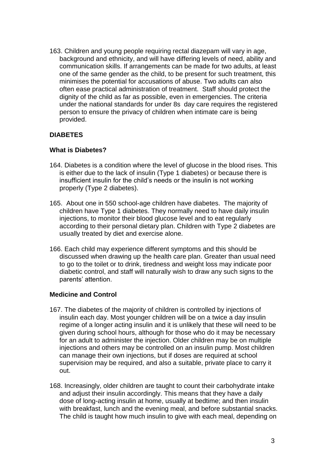163. Children and young people requiring rectal diazepam will vary in age, background and ethnicity, and will have differing levels of need, ability and communication skills. If arrangements can be made for two adults, at least one of the same gender as the child, to be present for such treatment, this minimises the potential for accusations of abuse. Two adults can also often ease practical administration of treatment. Staff should protect the dignity of the child as far as possible, even in emergencies. The criteria under the national standards for under 8s day care requires the registered person to ensure the privacy of children when intimate care is being provided.

#### **DIABETES**

#### **What is Diabetes?**

- 164. Diabetes is a condition where the level of glucose in the blood rises. This is either due to the lack of insulin (Type 1 diabetes) or because there is insufficient insulin for the child's needs or the insulin is not working properly (Type 2 diabetes).
- 165. About one in 550 school-age children have diabetes. The majority of children have Type 1 diabetes. They normally need to have daily insulin injections, to monitor their blood glucose level and to eat regularly according to their personal dietary plan. Children with Type 2 diabetes are usually treated by diet and exercise alone.
- 166. Each child may experience different symptoms and this should be discussed when drawing up the health care plan. Greater than usual need to go to the toilet or to drink, tiredness and weight loss may indicate poor diabetic control, and staff will naturally wish to draw any such signs to the parents' attention.

#### **Medicine and Control**

- 167. The diabetes of the majority of children is controlled by injections of insulin each day. Most younger children will be on a twice a day insulin regime of a longer acting insulin and it is unlikely that these will need to be given during school hours, although for those who do it may be necessary for an adult to administer the injection. Older children may be on multiple injections and others may be controlled on an insulin pump. Most children can manage their own injections, but if doses are required at school supervision may be required, and also a suitable, private place to carry it out.
- 168. Increasingly, older children are taught to count their carbohydrate intake and adjust their insulin accordingly. This means that they have a daily dose of long-acting insulin at home, usually at bedtime; and then insulin with breakfast, lunch and the evening meal, and before substantial snacks. The child is taught how much insulin to give with each meal, depending on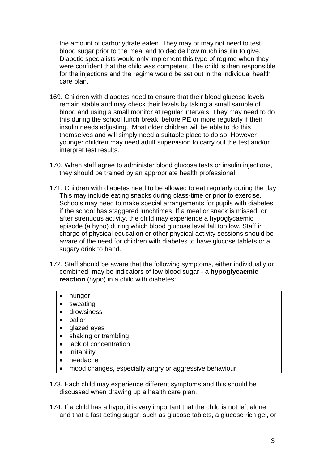the amount of carbohydrate eaten. They may or may not need to test blood sugar prior to the meal and to decide how much insulin to give. Diabetic specialists would only implement this type of regime when they were confident that the child was competent. The child is then responsible for the injections and the regime would be set out in the individual health care plan.

- 169. Children with diabetes need to ensure that their blood glucose levels remain stable and may check their levels by taking a small sample of blood and using a small monitor at regular intervals. They may need to do this during the school lunch break, before PE or more regularly if their insulin needs adjusting. Most older children will be able to do this themselves and will simply need a suitable place to do so. However younger children may need adult supervision to carry out the test and/or interpret test results.
- 170. When staff agree to administer blood glucose tests or insulin injections, they should be trained by an appropriate health professional.
- 171. Children with diabetes need to be allowed to eat regularly during the day. This may include eating snacks during class-time or prior to exercise. Schools may need to make special arrangements for pupils with diabetes if the school has staggered lunchtimes. If a meal or snack is missed, or after strenuous activity, the child may experience a hypoglycaemic episode (a hypo) during which blood glucose level fall too low. Staff in charge of physical education or other physical activity sessions should be aware of the need for children with diabetes to have glucose tablets or a sugary drink to hand.
- 172. Staff should be aware that the following symptoms, either individually or combined, may be indicators of low blood sugar - a **hypoglycaemic reaction** (hypo) in a child with diabetes:
	- hunger
	- sweating
	- drowsiness
	- pallor
	- glazed eyes
	- shaking or trembling
	- lack of concentration
	- irritability
	- headache
	- mood changes, especially angry or aggressive behaviour

173. Each child may experience different symptoms and this should be discussed when drawing up a health care plan.

174. If a child has a hypo, it is very important that the child is not left alone and that a fast acting sugar, such as glucose tablets, a glucose rich gel, or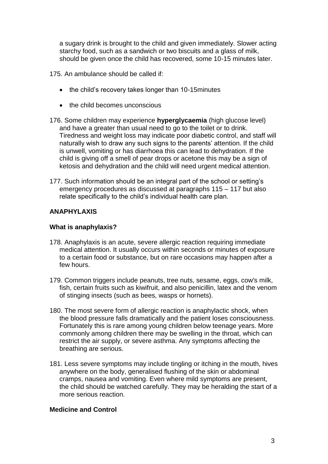a sugary drink is brought to the child and given immediately. Slower acting starchy food, such as a sandwich or two biscuits and a glass of milk, should be given once the child has recovered, some 10-15 minutes later.

175. An ambulance should be called if:

- the child's recovery takes longer than 10-15 minutes
- the child becomes unconscious
- 176. Some children may experience **hyperglycaemia** (high glucose level) and have a greater than usual need to go to the toilet or to drink. Tiredness and weight loss may indicate poor diabetic control, and staff will naturally wish to draw any such signs to the parents' attention. If the child is unwell, vomiting or has diarrhoea this can lead to dehydration. If the child is giving off a smell of pear drops or acetone this may be a sign of ketosis and dehydration and the child will need urgent medical attention.
- 177. Such information should be an integral part of the school or setting's emergency procedures as discussed at paragraphs 115 – 117 but also relate specifically to the child's individual health care plan.

#### **ANAPHYLAXIS**

#### **What is anaphylaxis?**

- 178. Anaphylaxis is an acute, severe allergic reaction requiring immediate medical attention. It usually occurs within seconds or minutes of exposure to a certain food or substance, but on rare occasions may happen after a few hours.
- 179. Common triggers include peanuts, tree nuts, sesame, eggs, cow's milk, fish, certain fruits such as kiwifruit, and also penicillin, latex and the venom of stinging insects (such as bees, wasps or hornets).
- 180. The most severe form of allergic reaction is anaphylactic shock, when the blood pressure falls dramatically and the patient loses consciousness. Fortunately this is rare among young children below teenage years. More commonly among children there may be swelling in the throat, which can restrict the air supply, or severe asthma. Any symptoms affecting the breathing are serious.
- 181. Less severe symptoms may include tingling or itching in the mouth, hives anywhere on the body, generalised flushing of the skin or abdominal cramps, nausea and vomiting. Even where mild symptoms are present, the child should be watched carefully. They may be heralding the start of a more serious reaction.

#### **Medicine and Control**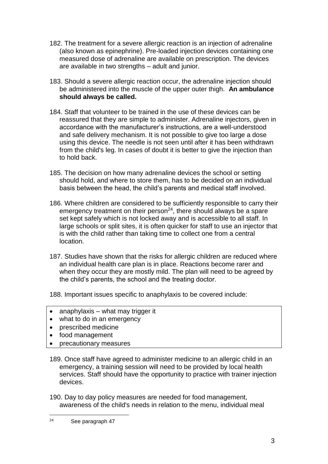- 182. The treatment for a severe allergic reaction is an injection of adrenaline (also known as epinephrine). Pre-loaded injection devices containing one measured dose of adrenaline are available on prescription. The devices are available in two strengths – adult and junior.
- 183. Should a severe allergic reaction occur, the adrenaline injection should be administered into the muscle of the upper outer thigh. **An ambulance should always be called.**
- 184. Staff that volunteer to be trained in the use of these devices can be reassured that they are simple to administer. Adrenaline injectors, given in accordance with the manufacturer's instructions, are a well-understood and safe delivery mechanism. It is not possible to give too large a dose using this device. The needle is not seen until after it has been withdrawn from the child's leg. In cases of doubt it is better to give the injection than to hold back.
- 185. The decision on how many adrenaline devices the school or setting should hold, and where to store them, has to be decided on an individual basis between the head, the child's parents and medical staff involved.
- 186. Where children are considered to be sufficiently responsible to carry their emergency treatment on their person<sup>24</sup>, there should always be a spare set kept safely which is not locked away and is accessible to all staff. In large schools or split sites, it is often quicker for staff to use an injector that is with the child rather than taking time to collect one from a central location.
- 187. Studies have shown that the risks for allergic children are reduced where an individual health care plan is in place. Reactions become rarer and when they occur they are mostly mild. The plan will need to be agreed by the child's parents, the school and the treating doctor.

188. Important issues specific to anaphylaxis to be covered include:

- $\bullet$  anaphylaxis what may trigger it
- what to do in an emergency
- prescribed medicine
- food management
- precautionary measures
- 189. Once staff have agreed to administer medicine to an allergic child in an emergency, a training session will need to be provided by local health services. Staff should have the opportunity to practice with trainer injection devices.

190. Day to day policy measures are needed for food management, awareness of the child's needs in relation to the menu, individual meal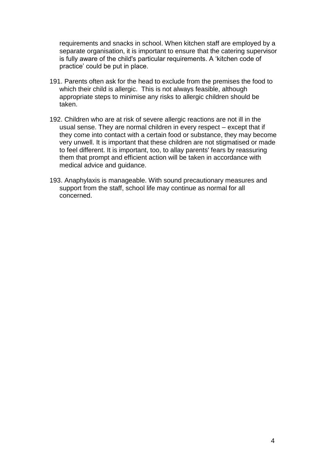requirements and snacks in school. When kitchen staff are employed by a separate organisation, it is important to ensure that the catering supervisor is fully aware of the child's particular requirements. A 'kitchen code of practice' could be put in place.

- 191. Parents often ask for the head to exclude from the premises the food to which their child is allergic. This is not always feasible, although appropriate steps to minimise any risks to allergic children should be taken.
- 192. Children who are at risk of severe allergic reactions are not ill in the usual sense. They are normal children in every respect – except that if they come into contact with a certain food or substance, they may become very unwell. It is important that these children are not stigmatised or made to feel different. It is important, too, to allay parents' fears by reassuring them that prompt and efficient action will be taken in accordance with medical advice and guidance.
- 193. Anaphylaxis is manageable. With sound precautionary measures and support from the staff, school life may continue as normal for all concerned.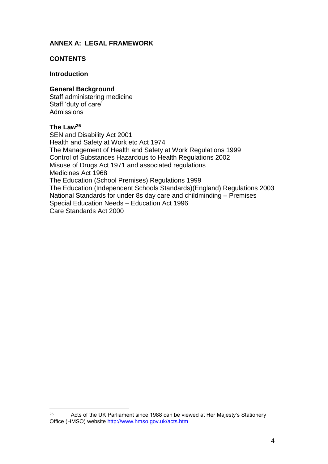#### **ANNEX A: LEGAL FRAMEWORK**

#### **CONTENTS**

#### **Introduction**

#### **General Background**

Staff administering medicine Staff 'duty of care' Admissions

#### **The Law<sup>25</sup>**

SEN and Disability Act 2001 Health and Safety at Work etc Act 1974 The Management of Health and Safety at Work Regulations 1999 Control of Substances Hazardous to Health Regulations 2002 Misuse of Drugs Act 1971 and associated regulations Medicines Act 1968 The Education (School Premises) Regulations 1999 The Education (Independent Schools Standards)(England) Regulations 2003 National Standards for under 8s day care and childminding – Premises Special Education Needs – Education Act 1996 Care Standards Act 2000

 $25\overline{)}$ Acts of the UK Parliament since 1988 can be viewed at Her Majesty's Stationery Office (HMSO) website<http://www.hmso.gov.uk/acts.htm>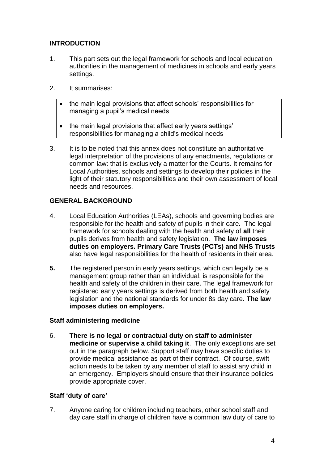#### **INTRODUCTION**

- 1. This part sets out the legal framework for schools and local education authorities in the management of medicines in schools and early years settings.
- 2. It summarises:
	- the main legal provisions that affect schools' responsibilities for managing a pupil's medical needs
	- the main legal provisions that affect early years settings' responsibilities for managing a child's medical needs
- 3. It is to be noted that this annex does not constitute an authoritative legal interpretation of the provisions of any enactments, regulations or common law: that is exclusively a matter for the Courts. It remains for Local Authorities, schools and settings to develop their policies in the light of their statutory responsibilities and their own assessment of local needs and resources.

#### **GENERAL BACKGROUND**

- 4. Local Education Authorities (LEAs), schools and governing bodies are responsible for the health and safety of pupils in their care**.** The legal framework for schools dealing with the health and safety of **all** their pupils derives from health and safety legislation. **The law imposes duties on employers. Primary Care Trusts (PCTs) and NHS Trusts**  also have legal responsibilities for the health of residents in their area.
- **5.** The registered person in early years settings, which can legally be a management group rather than an individual, is responsible for the health and safety of the children in their care. The legal framework for registered early years settings is derived from both health and safety legislation and the national standards for under 8s day care. **The law imposes duties on employers.**

#### **Staff administering medicine**

6. **There is no legal or contractual duty on staff to administer medicine or supervise a child taking it**. The only exceptions are set out in the paragraph below. Support staff may have specific duties to provide medical assistance as part of their contract. Of course, swift action needs to be taken by any member of staff to assist any child in an emergency. Employers should ensure that their insurance policies provide appropriate cover.

#### **Staff 'duty of care'**

7. Anyone caring for children including teachers, other school staff and day care staff in charge of children have a common law duty of care to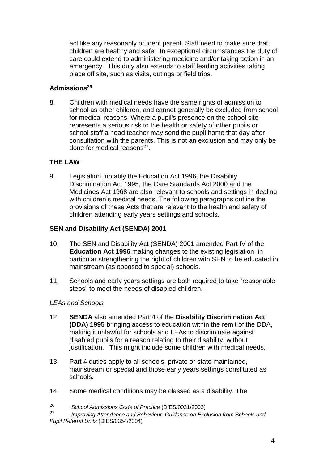act like any reasonably prudent parent. Staff need to make sure that children are healthy and safe. In exceptional circumstances the duty of care could extend to administering medicine and/or taking action in an emergency. This duty also extends to staff leading activities taking place off site, such as visits, outings or field trips.

#### **Admissions<sup>26</sup>**

8. Children with medical needs have the same rights of admission to school as other children, and cannot generally be excluded from school for medical reasons. Where a pupil's presence on the school site represents a serious risk to the health or safety of other pupils or school staff a head teacher may send the pupil home that day after consultation with the parents. This is not an exclusion and may only be done for medical reasons<sup>27</sup>.

#### **THE LAW**

9. Legislation, notably the Education Act 1996, the Disability Discrimination Act 1995, the Care Standards Act 2000 and the Medicines Act 1968 are also relevant to schools and settings in dealing with children's medical needs. The following paragraphs outline the provisions of these Acts that are relevant to the health and safety of children attending early years settings and schools.

#### **SEN and Disability Act (SENDA) 2001**

- 10. The SEN and Disability Act (SENDA) 2001 amended Part IV of the **Education Act 1996** making changes to the existing legislation, in particular strengthening the right of children with SEN to be educated in mainstream (as opposed to special) schools.
- 11. Schools and early years settings are both required to take "reasonable steps" to meet the needs of disabled children.

#### *LEAs and Schools*

- 12. **SENDA** also amended Part 4 of the **Disability Discrimination Act (DDA) 1995** bringing access to education within the remit of the DDA, making it unlawful for schools and LEAs to discriminate against disabled pupils for a reason relating to their disability, without justification. This might include some children with medical needs.
- 13. Part 4 duties apply to all schools; private or state maintained, mainstream or special and those early years settings constituted as schools.
- 14. Some medical conditions may be classed as a disability. The

<sup>26</sup> *School Admissions Code of Practice* (DfES/0031/2003)

<sup>27</sup> *Improving Attendance and Behaviour: Guidance on Exclusion from Schools and Pupil Referral Units* (DfES/0354/2004)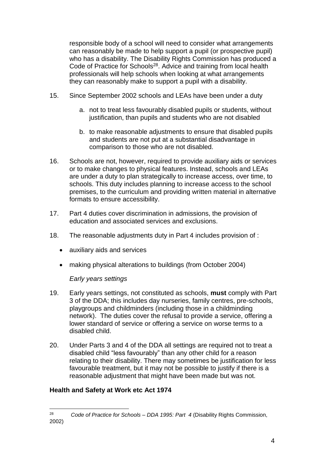responsible body of a school will need to consider what arrangements can reasonably be made to help support a pupil (or prospective pupil) who has a disability. The Disability Rights Commission has produced a Code of Practice for Schools<sup>28</sup>. Advice and training from local health professionals will help schools when looking at what arrangements they can reasonably make to support a pupil with a disability.

- 15. Since September 2002 schools and LEAs have been under a duty
	- a. not to treat less favourably disabled pupils or students, without justification, than pupils and students who are not disabled
	- b. to make reasonable adjustments to ensure that disabled pupils and students are not put at a substantial disadvantage in comparison to those who are not disabled.
- 16. Schools are not, however, required to provide auxiliary aids or services or to make changes to physical features. Instead, schools and LEAs are under a duty to plan strategically to increase access, over time, to schools. This duty includes planning to increase access to the school premises, to the curriculum and providing written material in alternative formats to ensure accessibility.
- 17. Part 4 duties cover discrimination in admissions, the provision of education and associated services and exclusions.
- 18. The reasonable adjustments duty in Part 4 includes provision of :
	- auxiliary aids and services
	- making physical alterations to buildings (from October 2004)

#### *Early years settings*

- 19. Early years settings, not constituted as schools, **must** comply with Part 3 of the DDA; this includes day nurseries, family centres, pre-schools, playgroups and childminders (including those in a childminding network). The duties cover the refusal to provide a service, offering a lower standard of service or offering a service on worse terms to a disabled child.
- 20. Under Parts 3 and 4 of the DDA all settings are required not to treat a disabled child "less favourably" than any other child for a reason relating to their disability. There may sometimes be justification for less favourable treatment, but it may not be possible to justify if there is a reasonable adjustment that might have been made but was not.

#### **Health and Safety at Work etc Act 1974**

<sup>28</sup> <sup>28</sup> *Code of Practice for Schools – DDA 1995: Part 4* (Disability Rights Commission, 2002)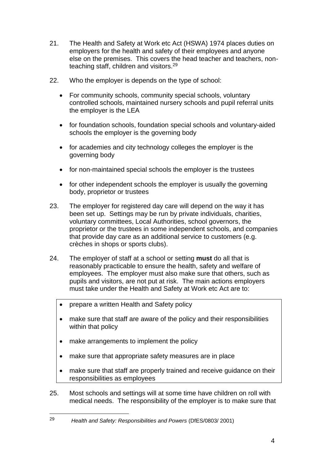- 21. The Health and Safety at Work etc Act (HSWA) 1974 places duties on employers for the health and safety of their employees and anyone else on the premises. This covers the head teacher and teachers, nonteaching staff, children and visitors.<sup>29</sup>
- 22. Who the employer is depends on the type of school:
	- For community schools, community special schools, voluntary controlled schools, maintained nursery schools and pupil referral units the employer is the LEA
	- for foundation schools, foundation special schools and voluntary-aided schools the employer is the governing body
	- for academies and city technology colleges the employer is the governing body
	- for non-maintained special schools the employer is the trustees
	- for other independent schools the employer is usually the governing body, proprietor or trustees
- 23. The employer for registered day care will depend on the way it has been set up. Settings may be run by private individuals, charities, voluntary committees, Local Authorities, school governors, the proprietor or the trustees in some independent schools, and companies that provide day care as an additional service to customers (e.g. crèches in shops or sports clubs).
- 24. The employer of staff at a school or setting **must** do all that is reasonably practicable to ensure the health, safety and welfare of employees. The employer must also make sure that others, such as pupils and visitors, are not put at risk. The main actions employers must take under the Health and Safety at Work etc Act are to:
	- prepare a written Health and Safety policy
	- make sure that staff are aware of the policy and their responsibilities within that policy
	- make arrangements to implement the policy

- make sure that appropriate safety measures are in place
- make sure that staff are properly trained and receive guidance on their responsibilities as employees
- 25. Most schools and settings will at some time have children on roll with medical needs. The responsibility of the employer is to make sure that

<sup>29</sup> *Health and Safety: Responsibilities and Powers* (DfES/0803/ 2001)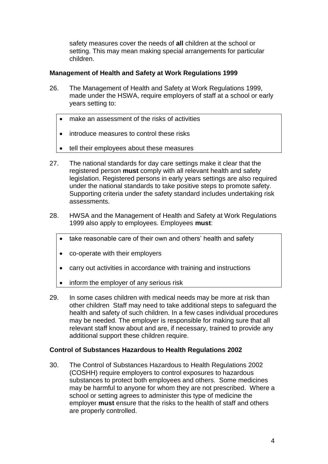safety measures cover the needs of **all** children at the school or setting. This may mean making special arrangements for particular children.

#### **Management of Health and Safety at Work Regulations 1999**

- 26. The Management of Health and Safety at Work Regulations 1999, made under the HSWA, require employers of staff at a school or early years setting to:
	- make an assessment of the risks of activities
	- introduce measures to control these risks
	- tell their employees about these measures
- 27. The national standards for day care settings make it clear that the registered person **must** comply with all relevant health and safety legislation. Registered persons in early years settings are also required under the national standards to take positive steps to promote safety. Supporting criteria under the safety standard includes undertaking risk assessments.
- 28. HWSA and the Management of Health and Safety at Work Regulations 1999 also apply to employees. Employees **must**:
	- take reasonable care of their own and others' health and safety
	- co-operate with their employers
	- carry out activities in accordance with training and instructions
	- inform the employer of any serious risk
- 29. In some cases children with medical needs may be more at risk than other children Staff may need to take additional steps to safeguard the health and safety of such children. In a few cases individual procedures may be needed. The employer is responsible for making sure that all relevant staff know about and are, if necessary, trained to provide any additional support these children require.

#### **Control of Substances Hazardous to Health Regulations 2002**

30. The Control of Substances Hazardous to Health Regulations 2002 (COSHH) require employers to control exposures to hazardous substances to protect both employees and others. Some medicines may be harmful to anyone for whom they are not prescribed. Where a school or setting agrees to administer this type of medicine the employer **must** ensure that the risks to the health of staff and others are properly controlled.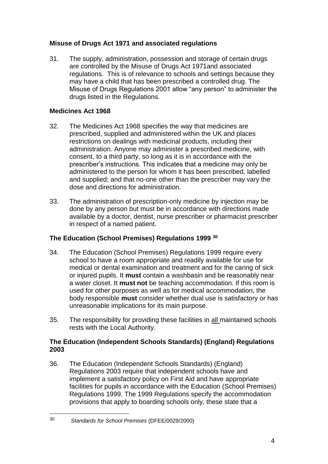#### **Misuse of Drugs Act 1971 and associated regulations**

31. The supply, administration, possession and storage of certain drugs are controlled by the Misuse of Drugs Act 1971and associated regulations. This is of relevance to schools and settings because they may have a child that has been prescribed a controlled drug. The Misuse of Drugs Regulations 2001 allow "any person" to administer the drugs listed in the Regulations.

#### **Medicines Act 1968**

- 32. The Medicines Act 1968 specifies the way that medicines are prescribed, supplied and administered within the UK and places restrictions on dealings with medicinal products, including their administration. Anyone may administer a prescribed medicine, with consent, to a third party, so long as it is in accordance with the prescriber's instructions. This indicates that a medicine may only be administered to the person for whom it has been prescribed, labelled and supplied; and that no-one other than the prescriber may vary the dose and directions for administration.
- 33. The administration of prescription-only medicine by injection may be done by any person but must be in accordance with directions made available by a doctor, dentist, nurse prescriber or pharmacist prescriber in respect of a named patient.

#### **The Education (School Premises) Regulations 1999 <sup>30</sup>**

- 34. The Education (School Premises) Regulations 1999 require every school to have a room appropriate and readily available for use for medical or dental examination and treatment and for the caring of sick or injured pupils. It **must** contain a washbasin and be reasonably near a water closet. It **must not** be teaching accommodation. If this room is used for other purposes as well as for medical accommodation, the body responsible **must** consider whether dual use is satisfactory or has unreasonable implications for its main purpose.
- 35. The responsibility for providing these facilities in all maintained schools rests with the Local Authority.

#### **The Education (Independent Schools Standards) (England) Regulations 2003**

36. The Education (Independent Schools Standards) (England) Regulations 2003 require that independent schools have and implement a satisfactory policy on First Aid and have appropriate facilities for pupils in accordance with the Education (School Premises) Regulations 1999. The 1999 Regulations specify the accommodation provisions that apply to boarding schools only, these state that a

<sup>1</sup> <sup>30</sup> *Standards for School Premises* (DFEE/0029/2000)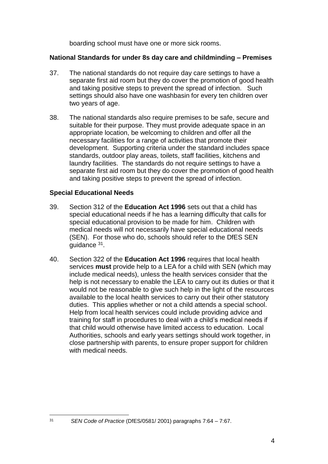boarding school must have one or more sick rooms.

#### **National Standards for under 8s day care and childminding – Premises**

- 37. The national standards do not require day care settings to have a separate first aid room but they do cover the promotion of good health and taking positive steps to prevent the spread of infection. Such settings should also have one washbasin for every ten children over two years of age.
- 38. The national standards also require premises to be safe, secure and suitable for their purpose. They must provide adequate space in an appropriate location, be welcoming to children and offer all the necessary facilities for a range of activities that promote their development. Supporting criteria under the standard includes space standards, outdoor play areas, toilets, staff facilities, kitchens and laundry facilities. The standards do not require settings to have a separate first aid room but they do cover the promotion of good health and taking positive steps to prevent the spread of infection.

#### **Special Educational Needs**

- 39. Section 312 of the **Education Act 1996** sets out that a child has special educational needs if he has a learning difficulty that calls for special educational provision to be made for him. Children with medical needs will not necessarily have special educational needs (SEN). For those who do, schools should refer to the DfES SEN guidance <sup>31</sup>.
- 40. Section 322 of the **Education Act 1996** requires that local health services **must** provide help to a LEA for a child with SEN (which may include medical needs), unless the health services consider that the help is not necessary to enable the LEA to carry out its duties or that it would not be reasonable to give such help in the light of the resources available to the local health services to carry out their other statutory duties. This applies whether or not a child attends a special school. Help from local health services could include providing advice and training for staff in procedures to deal with a child's medical needs if that child would otherwise have limited access to education. Local Authorities, schools and early years settings should work together, in close partnership with parents, to ensure proper support for children with medical needs.

<sup>31</sup> *SEN Code of Practice* (DfES/0581/ 2001) paragraphs 7:64 – 7:67.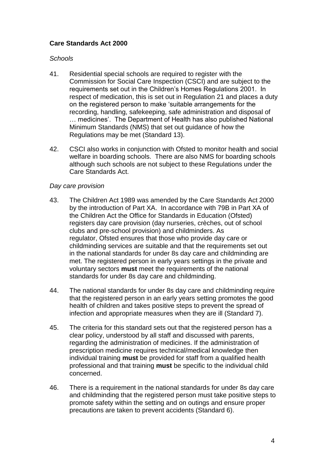#### **Care Standards Act 2000**

#### *Schools*

- 41. Residential special schools are required to register with the Commission for Social Care Inspection (CSCI) and are subject to the requirements set out in the Children's Homes Regulations 2001. In respect of medication, this is set out in Regulation 21 and places a duty on the registered person to make 'suitable arrangements for the recording, handling, safekeeping, safe administration and disposal of … medicines'. The Department of Health has also published National Minimum Standards (NMS) that set out guidance of how the Regulations may be met (Standard 13).
- 42. CSCI also works in conjunction with Ofsted to monitor health and social welfare in boarding schools. There are also NMS for boarding schools although such schools are not subject to these Regulations under the Care Standards Act.

#### *Day care provision*

- 43. The Children Act 1989 was amended by the Care Standards Act 2000 by the introduction of Part XA. In accordance with 79B in Part XA of the Children Act the Office for Standards in Education (Ofsted) registers day care provision (day nurseries, crèches, out of school clubs and pre-school provision) and childminders. As regulator, Ofsted ensures that those who provide day care or childminding services are suitable and that the requirements set out in the national standards for under 8s day care and childminding are met. The registered person in early years settings in the private and voluntary sectors **must** meet the requirements of the national standards for under 8s day care and childminding.
- 44. The national standards for under 8s day care and childminding require that the registered person in an early years setting promotes the good health of children and takes positive steps to prevent the spread of infection and appropriate measures when they are ill (Standard 7).
- 45. The criteria for this standard sets out that the registered person has a clear policy, understood by all staff and discussed with parents, regarding the administration of medicines. If the administration of prescription medicine requires technical/medical knowledge then individual training **must** be provided for staff from a qualified health professional and that training **must** be specific to the individual child concerned.
- 46. There is a requirement in the national standards for under 8s day care and childminding that the registered person must take positive steps to promote safety within the setting and on outings and ensure proper precautions are taken to prevent accidents (Standard 6).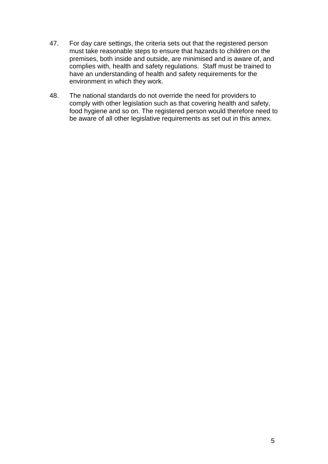- 47. For day care settings, the criteria sets out that the registered person must take reasonable steps to ensure that hazards to children on the premises, both inside and outside, are minimised and is aware of, and complies with, health and safety regulations. Staff must be trained to have an understanding of health and safety requirements for the environment in which they work.
- 48. The national standards do not override the need for providers to comply with other legislation such as that covering health and safety, food hygiene and so on. The registered person would therefore need to be aware of all other legislative requirements as set out in this annex.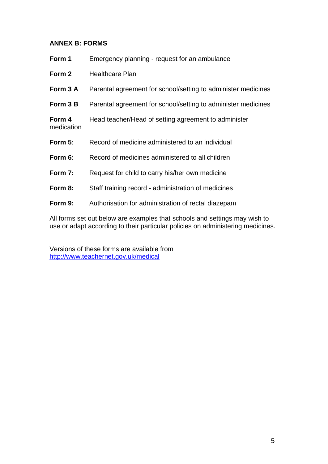#### **ANNEX B: FORMS**

| Form 1               | Emergency planning - request for an ambulance                 |
|----------------------|---------------------------------------------------------------|
| Form 2               | <b>Healthcare Plan</b>                                        |
| Form 3 A             | Parental agreement for school/setting to administer medicines |
| Form 3 B             | Parental agreement for school/setting to administer medicines |
| Form 4<br>medication | Head teacher/Head of setting agreement to administer          |
| Form $5:$            | Record of medicine administered to an individual              |
| Form 6:              | Record of medicines administered to all children              |
| Form 7:              | Request for child to carry his/her own medicine               |
| Form 8:              | Staff training record - administration of medicines           |
| Form 9:              | Authorisation for administration of rectal diazepam           |

All forms set out below are examples that schools and settings may wish to use or adapt according to their particular policies on administering medicines.

Versions of these forms are available from [http://www.teachernet.gov.uk/medical](http://www.teachernet/gov.uk/medical)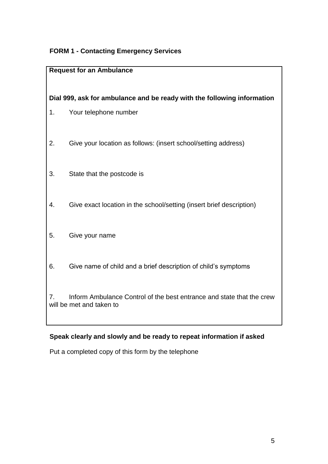#### **FORM 1 - Contacting Emergency Services**

#### **Request for an Ambulance**

#### **Dial 999, ask for ambulance and be ready with the following information**

- 1. Your telephone number
- 2. Give your location as follows: (insert school/setting address)
- 3. State that the postcode is
- 4. Give exact location in the school/setting (insert brief description)
- 5. Give your name
- 6. Give name of child and a brief description of child's symptoms

7. Inform Ambulance Control of the best entrance and state that the crew will be met and taken to

#### **Speak clearly and slowly and be ready to repeat information if asked**

Put a completed copy of this form by the telephone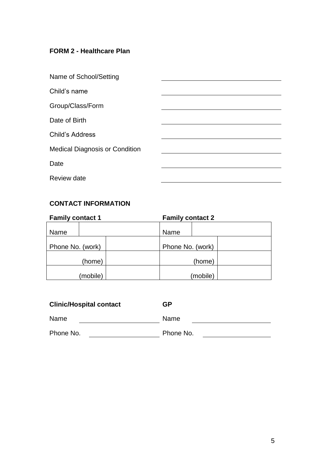#### **FORM 2 - Healthcare Plan**

| Name of School/Setting                |  |
|---------------------------------------|--|
| Child's name                          |  |
| Group/Class/Form                      |  |
| Date of Birth                         |  |
| <b>Child's Address</b>                |  |
| <b>Medical Diagnosis or Condition</b> |  |
| Date                                  |  |
| <b>Review date</b>                    |  |

## **CONTACT INFORMATION**

| <b>Family contact 1</b><br><b>Family contact 2</b> |          |                  |          |  |
|----------------------------------------------------|----------|------------------|----------|--|
| Name                                               |          | Name             |          |  |
| Phone No. (work)                                   |          | Phone No. (work) |          |  |
|                                                    | (home)   |                  | (home)   |  |
|                                                    | (mobile) |                  | (mobile) |  |

| <b>Clinic/Hospital contact</b> | GP        |
|--------------------------------|-----------|
| Name                           | Name      |
| Phone No.                      | Phone No. |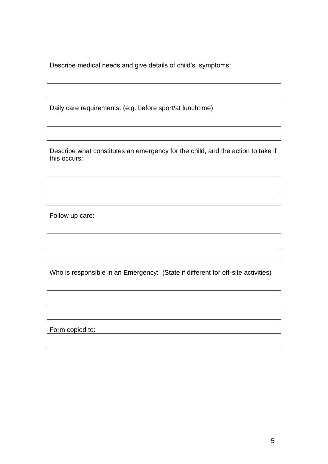Describe medical needs and give details of child's symptoms:

Daily care requirements: (e.g. before sport/at lunchtime)

Describe what constitutes an emergency for the child, and the action to take if this occurs:

Follow up care:

Who is responsible in an Emergency: (State if different for off-site activities)

Form copied to: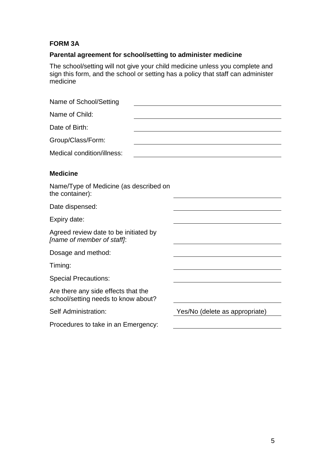#### **FORM 3A**

#### **Parental agreement for school/setting to administer medicine**

The school/setting will not give your child medicine unless you complete and sign this form, and the school or setting has a policy that staff can administer medicine

| Name of School/Setting                                                     |                                |
|----------------------------------------------------------------------------|--------------------------------|
| Name of Child:                                                             |                                |
| Date of Birth:                                                             |                                |
| Group/Class/Form:                                                          |                                |
| Medical condition/illness:                                                 |                                |
| <b>Medicine</b>                                                            |                                |
| Name/Type of Medicine (as described on<br>the container):                  |                                |
| Date dispensed:                                                            |                                |
| Expiry date:                                                               |                                |
| Agreed review date to be initiated by<br>[name of member of staff]:        |                                |
| Dosage and method:                                                         |                                |
| Timing:                                                                    |                                |
| <b>Special Precautions:</b>                                                |                                |
| Are there any side effects that the<br>school/setting needs to know about? |                                |
| Self Administration:                                                       | Yes/No (delete as appropriate) |
| Procedures to take in an Emergency:                                        |                                |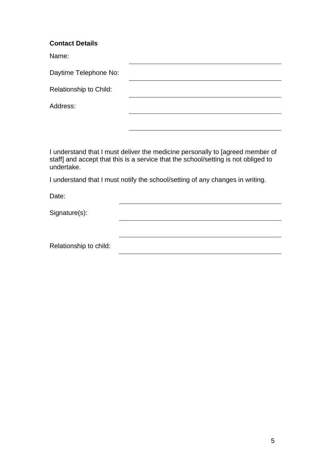#### **Contact Details**

Name:

| Daytime Telephone No:  |  |
|------------------------|--|
| Relationship to Child: |  |
| Address:               |  |
|                        |  |

I understand that I must deliver the medicine personally to [agreed member of staff] and accept that this is a service that the school/setting is not obliged to undertake.

I understand that I must notify the school/setting of any changes in writing.

Date:

Signature(s):

Relationship to child: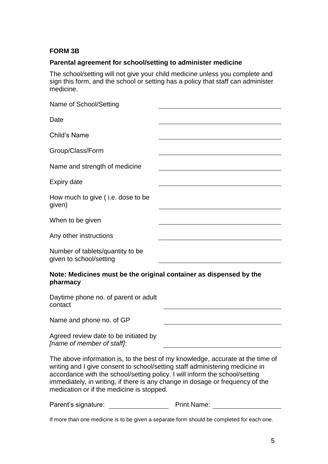#### **FORM 3B**

#### **Parental agreement for school/setting to administer medicine**

The school/setting will not give your child medicine unless you complete and sign this form, and the school or setting has a policy that staff can administer medicine.

| Name of School/Setting                                                         |                                                                                |
|--------------------------------------------------------------------------------|--------------------------------------------------------------------------------|
| Date                                                                           |                                                                                |
| Child's Name                                                                   |                                                                                |
| Group/Class/Form                                                               |                                                                                |
| Name and strength of medicine                                                  |                                                                                |
| <b>Expiry date</b>                                                             |                                                                                |
| How much to give (i.e. dose to be<br>given)                                    |                                                                                |
| When to be given                                                               |                                                                                |
| Any other instructions                                                         |                                                                                |
| Number of tablets/quantity to be<br>given to school/setting                    |                                                                                |
| Note: Medicines must be the original container as dispensed by the<br>pharmacy |                                                                                |
| Daytime phone no. of parent or adult<br>contact                                |                                                                                |
| Name and phone no. of GP                                                       |                                                                                |
| Agreed review date to be initiated by<br>[name of member of staff]:            |                                                                                |
| writing and I give consent to school/setting staff administering medicine in   | The above information is, to the best of my knowledge, accurate at the time of |

accordance with the school/setting policy. I will inform the school/setting immediately, in writing, if there is any change in dosage or frequency of the medication or if the medicine is stopped.

Parent's signature: Print Name:

If more than one medicine is to be given a separate form should be completed for each one.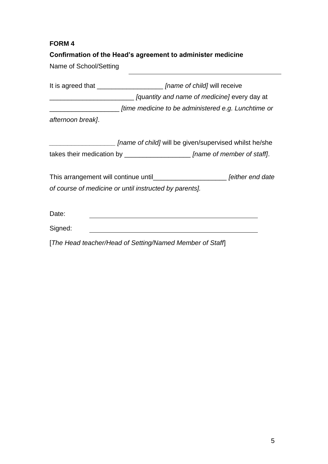#### **Confirmation of the Head's agreement to administer medicine**

Name of School/Setting

It is agreed that \_\_\_\_\_\_\_\_\_\_\_\_\_\_\_\_\_\_ *[name of child]* will receive \_\_\_\_\_\_\_\_\_\_\_\_\_\_\_\_\_\_\_\_\_\_\_ *[quantity and name of medicine]* every day at \_\_\_\_\_\_\_\_\_\_\_\_\_\_\_\_\_\_\_ *[time medicine to be administered e.g. Lunchtime or afternoon break]*.

*\_\_\_\_\_\_\_\_\_\_\_\_\_\_\_\_\_\_ [name of child]* will be given/supervised whilst he/she takes their medication by \_\_\_\_\_\_\_\_\_\_\_\_\_\_\_\_\_\_ *[name of member of staff]*.

This arrangement will continue until\_\_\_\_\_\_\_\_\_\_\_\_\_\_\_\_\_\_\_\_ *[either end date of course of medicine or until instructed by parents].*

Date:

Signed: 

[*The Head teacher/Head of Setting/Named Member of Staff*]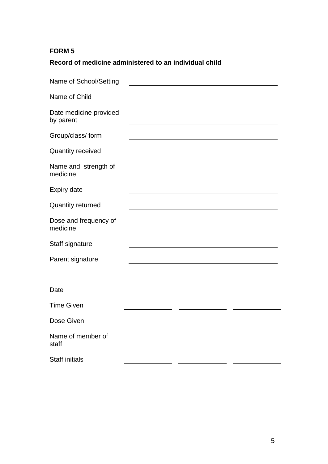# **Record of medicine administered to an individual child**

| Name of School/Setting              |  |  |
|-------------------------------------|--|--|
| Name of Child                       |  |  |
| Date medicine provided<br>by parent |  |  |
| Group/class/ form                   |  |  |
| <b>Quantity received</b>            |  |  |
| Name and strength of<br>medicine    |  |  |
| <b>Expiry date</b>                  |  |  |
| <b>Quantity returned</b>            |  |  |
| Dose and frequency of<br>medicine   |  |  |
| Staff signature                     |  |  |
| Parent signature                    |  |  |
|                                     |  |  |
| Date                                |  |  |
| <b>Time Given</b>                   |  |  |
| Dose Given                          |  |  |
| Name of member of<br>staff          |  |  |
| <b>Staff initials</b>               |  |  |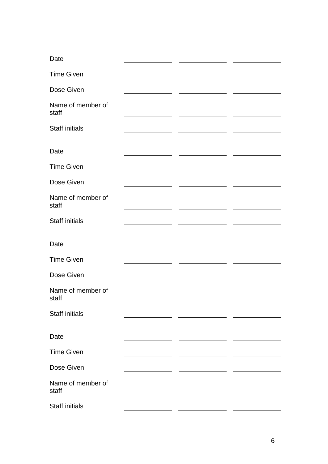| Date                       |  |  |
|----------------------------|--|--|
| <b>Time Given</b>          |  |  |
| Dose Given                 |  |  |
| Name of member of<br>staff |  |  |
| <b>Staff initials</b>      |  |  |
| Date                       |  |  |
| <b>Time Given</b>          |  |  |
| Dose Given                 |  |  |
| Name of member of<br>staff |  |  |
| <b>Staff initials</b>      |  |  |
| Date                       |  |  |
| <b>Time Given</b>          |  |  |
| Dose Given                 |  |  |
| Name of member of<br>staff |  |  |
| <b>Staff initials</b>      |  |  |
| Date                       |  |  |
| <b>Time Given</b>          |  |  |
| Dose Given                 |  |  |
| Name of member of<br>staff |  |  |
|                            |  |  |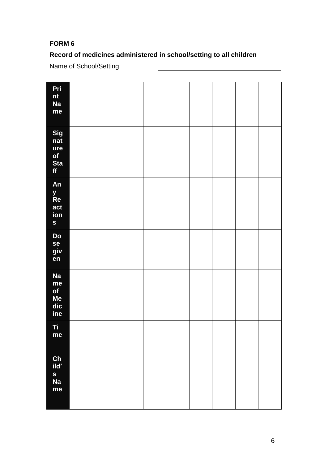# **Record of medicines administered in school/setting to all children**

Name of School/Setting

| Pri<br>nt<br>Na<br>me                          |  |  |  |  |  |
|------------------------------------------------|--|--|--|--|--|
| Sig<br>$n$ at<br>ure<br>of<br><b>Sta</b><br>ff |  |  |  |  |  |
| An<br>y<br>Re<br>act<br>ion<br>S               |  |  |  |  |  |
| Do<br>se<br>giv<br>en                          |  |  |  |  |  |
| <b>Na</b><br>me<br>of<br>Me<br>dic<br>ine      |  |  |  |  |  |
| Ti<br>me                                       |  |  |  |  |  |
| Ch<br>ild'<br>s<br>Na<br>me                    |  |  |  |  |  |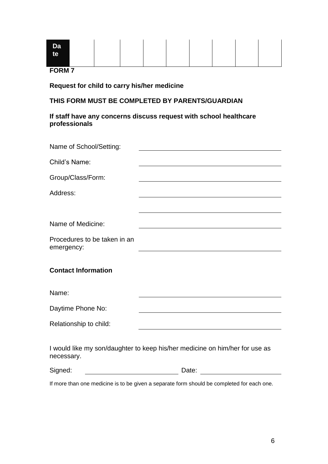| <b>Da</b><br>te |  |  |  |  |
|-----------------|--|--|--|--|
| <b>CODM7</b>    |  |  |  |  |

#### **Request for child to carry his/her medicine**

#### **THIS FORM MUST BE COMPLETED BY PARENTS/GUARDIAN**

#### **If staff have any concerns discuss request with school healthcare professionals**

| Name of School/Setting:                    |                                                                             |
|--------------------------------------------|-----------------------------------------------------------------------------|
| Child's Name:                              |                                                                             |
| Group/Class/Form:                          |                                                                             |
| Address:                                   |                                                                             |
|                                            |                                                                             |
| Name of Medicine:                          |                                                                             |
| Procedures to be taken in an<br>emergency: |                                                                             |
| <b>Contact Information</b>                 |                                                                             |
| Name:                                      |                                                                             |
| Daytime Phone No:                          |                                                                             |
| Relationship to child:                     |                                                                             |
| necessary.                                 | I would like my son/daughter to keep his/her medicine on him/her for use as |
| Signed:                                    | Date:                                                                       |

If more than one medicine is to be given a separate form should be completed for each one.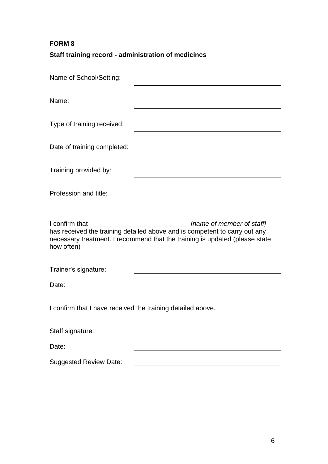# **Staff training record - administration of medicines**

| Name of School/Setting:                                     |                                                                                                                                                                                                                                                    |
|-------------------------------------------------------------|----------------------------------------------------------------------------------------------------------------------------------------------------------------------------------------------------------------------------------------------------|
| Name:                                                       |                                                                                                                                                                                                                                                    |
| Type of training received:                                  |                                                                                                                                                                                                                                                    |
| Date of training completed:                                 |                                                                                                                                                                                                                                                    |
| Training provided by:                                       |                                                                                                                                                                                                                                                    |
| Profession and title:                                       |                                                                                                                                                                                                                                                    |
| I confirm that<br>how often)                                | [name of member of staff]<br><u> 1980 - Johann John Stone, mars eta biztanleria (</u><br>has received the training detailed above and is competent to carry out any<br>necessary treatment. I recommend that the training is updated (please state |
| Trainer's signature:                                        |                                                                                                                                                                                                                                                    |
| Date:                                                       |                                                                                                                                                                                                                                                    |
| I confirm that I have received the training detailed above. |                                                                                                                                                                                                                                                    |
|                                                             |                                                                                                                                                                                                                                                    |
| Staff signature:                                            |                                                                                                                                                                                                                                                    |
| Date:                                                       |                                                                                                                                                                                                                                                    |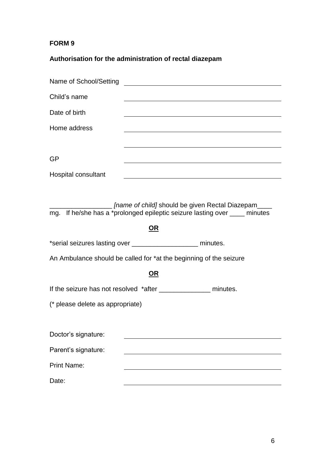# **Authorisation for the administration of rectal diazepam**

| Name of School/Setting                                             |           |                                                                                                                                   |
|--------------------------------------------------------------------|-----------|-----------------------------------------------------------------------------------------------------------------------------------|
| Child's name                                                       |           |                                                                                                                                   |
| Date of birth                                                      |           |                                                                                                                                   |
| Home address                                                       |           |                                                                                                                                   |
|                                                                    |           |                                                                                                                                   |
| GP                                                                 |           |                                                                                                                                   |
| Hospital consultant                                                |           |                                                                                                                                   |
|                                                                    |           |                                                                                                                                   |
|                                                                    |           | [name of child] should be given Rectal Diazepam____<br>mg. If he/she has a *prolonged epileptic seizure lasting over ____ minutes |
|                                                                    | OR        |                                                                                                                                   |
| *serial seizures lasting over ______________________ minutes.      |           |                                                                                                                                   |
| An Ambulance should be called for *at the beginning of the seizure |           |                                                                                                                                   |
|                                                                    |           |                                                                                                                                   |
|                                                                    | <u>OR</u> |                                                                                                                                   |
| If the seizure has not resolved *after ________________ minutes.   |           |                                                                                                                                   |
| (* please delete as appropriate)                                   |           |                                                                                                                                   |
|                                                                    |           |                                                                                                                                   |
| Doctor's signature:                                                |           |                                                                                                                                   |
| Parent's signature:                                                |           |                                                                                                                                   |
| <b>Print Name:</b>                                                 |           |                                                                                                                                   |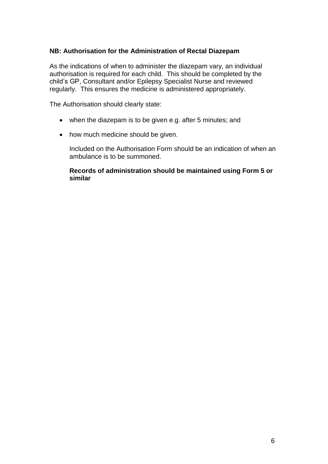#### **NB: Authorisation for the Administration of Rectal Diazepam**

As the indications of when to administer the diazepam vary, an individual authorisation is required for each child. This should be completed by the child's GP, Consultant and/or Epilepsy Specialist Nurse and reviewed regularly. This ensures the medicine is administered appropriately.

The Authorisation should clearly state:

- when the diazepam is to be given e.g. after 5 minutes; and
- how much medicine should be given.

Included on the Authorisation Form should be an indication of when an ambulance is to be summoned.

**Records of administration should be maintained using Form 5 or similar**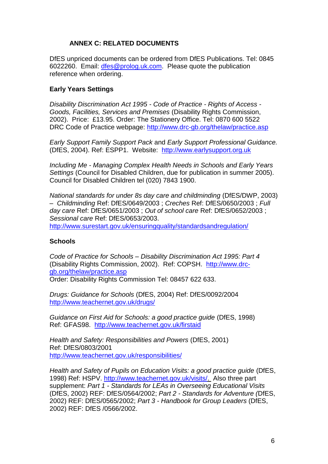#### **ANNEX C: RELATED DOCUMENTS**

DfES unpriced documents can be ordered from DfES Publications. Tel: 0845 6022260. Email: [dfes@prolog.uk.com.](mailto:dfes@prolog.uk.com) Please quote the publication reference when ordering.

#### **Early Years Settings**

*Disability Discrimination Act 1995 - Code of Practice - Rights of Access - Goods, Facilities, Services and Premises* (Disability Rights Commission, 2002). Price: £13.95. Order: The Stationery Office. Tel: 0870 600 5522 DRC Code of Practice webpage:<http://www.drc-gb.org/thelaw/practice.asp>

*Early Support Family Support Pack* and *Early Support Professional Guidance.*  (DfES, 2004). Ref: ESPP1. Website: [http://www.earlysupport.org.uk](http://www.earlysupport.org.uk/)

*Including Me - Managing Complex Health Needs in Schools and Early Years Settings* (Council for Disabled Children, due for publication in summer 2005). Council for Disabled Children tel (020) 7843 1900.

*National standards for under 8s day care and childminding* (DfES/DWP, 2003) – *Childminding* Ref: DfES/0649/2003 ; *Creches* Ref: DfES/0650/2003 ; *Full day care* Ref: DfES/0651/2003 ; *Out of school care* Ref: DfES/0652/2003 ; *Sessional care* Ref: DfES/0653/2003.

<http://www.surestart.gov.uk/ensuringquality/standardsandregulation/>

#### **Schools**

*Code of Practice for Schools – Disability Discrimination Act 1995: Part 4* (Disability Rights Commission, 2002). Ref: COPSH. [http://www.drc](http://www.drc-gb.org/thelaw/practice.asp)[gb.org/thelaw/practice.asp](http://www.drc-gb.org/thelaw/practice.asp) Order: Disability Rights Commission Tel: 08457 622 633.

*Drugs: Guidance for Schools* (DfES, 2004) Ref: DfES/0092/2004 <http://www.teachernet.gov.uk/drugs/>

*Guidance on First Aid for Schools: a good practice guide* (DfES, 1998) Ref: GFAS98. <http://www.teachernet.gov.uk/firstaid>

*Health and Safety: Responsibilities and Powers* (DfES, 2001) Ref: DfES/0803/2001 <http://www.teachernet.gov.uk/responsibilities/>

*Health and Safety of Pupils on Education Visits: a good practice guide* (DfES, 1998) Ref: HSPV. [http://www.teachernet.gov.uk/visits/.](http://www.teachernet.gov.uk/visits/) Also three part supplement: *Part 1 - Standards for LEAs in Overseeing Educational Visits* (DfES, 2002) REF: DfES/0564/2002; *Part 2 - Standards for Adventure (*DfES, 2002) REF: DfES/0565/2002; *Part 3 - Handbook for Group Leaders* (DfES, 2002) REF: DfES /0566/2002.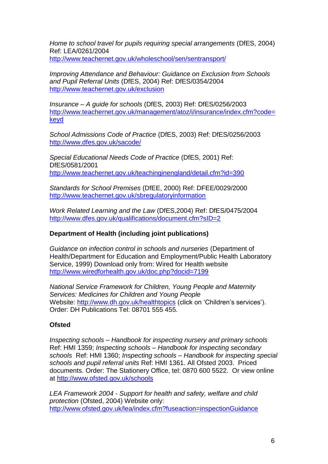*Home to school travel for pupils requiring special arrangements* (DfES, 2004) Ref: LEA/0261/2004 <http://www.teachernet.gov.uk/wholeschool/sen/sentransport/>

*Improving Attendance and Behaviour: Guidance on Exclusion from Schools and Pupil Referral Units* (DfES, 2004) Ref: DfES/0354/2004 [http://www.teachernet.gov.uk/exclusion](http://www.teachernet.gov.uk/wholeschool/behaviour/exclusion/guidance)

*Insurance – A guide for schools* (DfES, 2003) Ref: DfES/0256/2003 [http://www.teachernet.gov.uk/management/atoz/i/insurance/index.cfm?code=](http://www.teachernet.gov.uk/management/atoz/i/insurance/index.cfm?code=keyd) [keyd](http://www.teachernet.gov.uk/management/atoz/i/insurance/index.cfm?code=keyd)

*School Admissions Code of Practice* (DfES, 2003) Ref: DfES/0256/2003 <http://www.dfes.gov.uk/sacode/>

*Special Educational Needs Code of Practice* (DfES, 2001) Ref: DfES/0581/2001 <http://www.teachernet.gov.uk/teachinginengland/detail.cfm?id=390>

*Standards for School Premises* (DfEE, 2000) Ref: DFEE/0029/2000 <http://www.teachernet.gov.uk/sbregulatoryinformation>

*Work Related Learning and the Law* (DfES,2004) Ref: DfES/0475/2004 <http://www.dfes.gov.uk/qualifications/document.cfm?sID=2>

#### **Department of Health (including joint publications)**

*Guidance on infection control in schools and nurseries* (Department of Health/Department for Education and Employment/Public Health Laboratory Service, 1999) Download only from: Wired for Health website <http://www.wiredforhealth.gov.uk/doc.php?docid=7199>

*National Service Framework for Children, Young People and Maternity Services: Medicines for Children and Young People*  Website:<http://www.dh.gov.uk/healthtopics> (click on 'Children's services'). Order: DH Publications Tel: 08701 555 455.

#### **Ofsted**

*Inspecting schools – Handbook for inspecting nursery and primary schools* Ref: HMI 1359; *Inspecting schools – Handbook for inspecting secondary schools* Ref: HMI 1360; *Inspecting schools – Handbook for inspecting special schools and pupil referral units* Ref: HMI 1361. All Ofsted 2003. Priced documents. Order: The Stationery Office, tel: 0870 600 5522. Or view online at<http://www.ofsted.gov.uk/schools>

*LEA Framework 2004 - Support for health and safety, welfare and child protection* (Ofsted, 2004) Website only: <http://www.ofsted.gov.uk/lea/index.cfm?fuseaction=inspectionGuidance>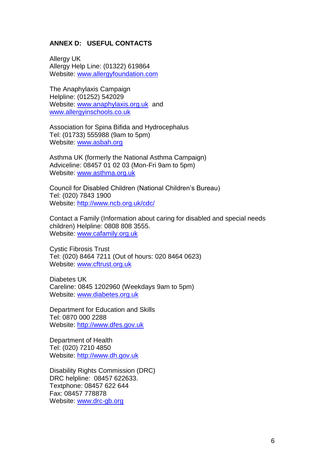#### **ANNEX D: USEFUL CONTACTS**

Allergy UK Allergy Help Line: (01322) 619864 Website: [www.allergyfoundation.com](http://www.allergyfoundation.com/)

The Anaphylaxis Campaign Helpline: (01252) 542029 Website: [www.anaphylaxis.org.uk](http://www.anaphylaxis.org.uk/) and [www.allergyinschools.co.uk](http://www.allergyinschools.co.uk/)

Association for Spina Bifida and Hydrocephalus Tel: (01733) 555988 (9am to 5pm) Website: [www.asbah.org](http://www.asbah.org/)

Asthma UK (formerly the National Asthma Campaign) Adviceline: 08457 01 02 03 (Mon-Fri 9am to 5pm) Website: [www.asthma.org.uk](http://www.asthma.org.uk/)

Council for Disabled Children (National Children's Bureau) Tel: (020) 7843 1900 Website:<http://www.ncb.org.uk/cdc/>

Contact a Family (Information about caring for disabled and special needs children) Helpline: 0808 808 3555. Website: [www.cafamily.org.uk](http://www.cafamily.org.uk/)

Cystic Fibrosis Trust Tel: (020) 8464 7211 (Out of hours: 020 8464 0623) Website: [www.cftrust.org.uk](http://www.cftrust.org.uk/)

Diabetes UK Careline: 0845 1202960 (Weekdays 9am to 5pm) Website: [www.diabetes.org.uk](http://www.diabetes.org.uk/)

Department for Education and Skills Tel: 0870 000 2288 Website: [http://www.dfes.gov.uk](http://www.dfes.gov.uk/)

Department of Health Tel: (020) 7210 4850 Website: [http://www.dh.gov.uk](http://www.dh.gov.uk/)

Disability Rights Commission (DRC) DRC helpline: 08457 622633. Textphone: 08457 622 644 Fax: 08457 778878 Website: [www.drc-gb.org](http://www.drc-gb.org/)